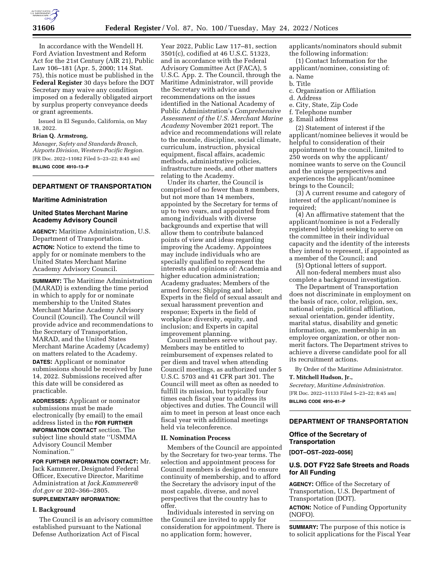

In accordance with the Wendell H. Ford Aviation Investment and Reform Act for the 21st Century (AIR 21), Public Law 106–181 (Apr. 5, 2000; 114 Stat. 75), this notice must be published in the **Federal Register** 30 days before the DOT Secretary may waive any condition imposed on a federally obligated airport by surplus property conveyance deeds or grant agreements.

Issued in El Segundo, California, on May 18, 2022.

### **Brian Q. Armstrong,**

*Manager, Safety and Standards Branch, Airports Division, Western-Pacific Region.*  [FR Doc. 2022–11082 Filed 5–23–22; 8:45 am] **BILLING CODE 4910–13–P** 

# **DEPARTMENT OF TRANSPORTATION**

# **Maritime Administration**

# **United States Merchant Marine Academy Advisory Council**

**AGENCY:** Maritime Administration, U.S. Department of Transportation.

**ACTION:** Notice to extend the time to apply for or nominate members to the United States Merchant Marine Academy Advisory Council.

**SUMMARY:** The Maritime Administration (MARAD) is extending the time period in which to apply for or nominate membership to the United States Merchant Marine Academy Advisory Council (Council). The Council will provide advice and recommendations to the Secretary of Transportation, MARAD, and the United States Merchant Marine Academy (Academy) on matters related to the Academy.

**DATES:** Applicant or nominator submissions should be received by June 14, 2022. Submissions received after this date will be considered as practicable.

**ADDRESSES:** Applicant or nominator submissions must be made electronically (by email) to the email address listed in the **FOR FURTHER INFORMATION CONTACT** section. The subject line should state ''USMMA Advisory Council Member Nomination.''

**FOR FURTHER INFORMATION CONTACT:** Mr. Jack Kammerer, Designated Federal Officer, Executive Director, Maritime Administration at *Jack.Kammerer@ dot.gov* or 202–366–2805.

# **SUPPLEMENTARY INFORMATION:**

# **I. Background**

The Council is an advisory committee established pursuant to the National Defense Authorization Act of Fiscal

Year 2022, Public Law 117–81, section 3501(c), codified at 46 U.S.C. 51323, and in accordance with the Federal Advisory Committee Act (FACA), 5 U.S.C. App. 2. The Council, through the Maritime Administrator, will provide the Secretary with advice and recommendations on the issues identified in the National Academy of Public Administration's *Comprehensive Assessment of the U.S. Merchant Marine Academy* November 2021 report. The advice and recommendations will relate to the morale, discipline, social climate, curriculum, instruction, physical equipment, fiscal affairs, academic methods, administrative policies, infrastructure needs, and other matters relating to the Academy.

Under its charter, the Council is comprised of no fewer than 8 members, but not more than 14 members, appointed by the Secretary for terms of up to two years, and appointed from among individuals with diverse backgrounds and expertise that will allow them to contribute balanced points of view and ideas regarding improving the Academy. Appointees may include individuals who are specially qualified to represent the interests and opinions of: Academia and higher education administration; Academy graduates; Members of the armed forces; Shipping and labor; Experts in the field of sexual assault and sexual harassment prevention and response; Experts in the field of workplace diversity, equity, and inclusion; and Experts in capital improvement planning.

Council members serve without pay. Members may be entitled to reimbursement of expenses related to per diem and travel when attending Council meetings, as authorized under 5 U.S.C. 5703 and 41 CFR part 301. The Council will meet as often as needed to fulfill its mission, but typically four times each fiscal year to address its objectives and duties. The Council will aim to meet in person at least once each fiscal year with additional meetings held via teleconference.

### **II. Nomination Process**

Members of the Council are appointed by the Secretary for two-year terms. The selection and appointment process for Council members is designed to ensure continuity of membership, and to afford the Secretary the advisory input of the most capable, diverse, and novel perspectives that the country has to offer.

Individuals interested in serving on the Council are invited to apply for consideration for appointment. There is no application form; however,

applicants/nominators should submit the following information:

(1) Contact Information for the applicant/nominee, consisting of:

- a. Name
- b. Title
- c. Organization or Affiliation
- d. Address
- e. City, State, Zip Code
- f. Telephone number
- g. Email address

(2) Statement of interest if the applicant/nominee believes it would be helpful to consideration of their appointment to the council, limited to 250 words on why the applicant/ nominee wants to serve on the Council and the unique perspectives and experiences the applicant/nominee brings to the Council;

(3) A current resume and category of interest of the applicant/nominee is required;

(4) An affirmative statement that the applicant/nominee is not a Federally registered lobbyist seeking to serve on the committee in their individual capacity and the identity of the interests they intend to represent, if appointed as a member of the Council; and

(5) Optional letters of support.

All non-federal members must also complete a background investigation.

The Department of Transportation does not discriminate in employment on the basis of race, color, religion, sex, national origin, political affiliation, sexual orientation, gender identity, marital status, disability and genetic information, age, membership in an employee organization, or other nonmerit factors. The Department strives to achieve a diverse candidate pool for all its recruitment actions.

By Order of the Maritime Administrator. **T. Mitchell Hudson, Jr.,** 

*Secretary, Maritime Administration.*  [FR Doc. 2022–11133 Filed 5–23–22; 8:45 am] **BILLING CODE 4910–81–P** 

#### **DEPARTMENT OF TRANSPORTATION**

### **Office of the Secretary of Transportation**

**[DOT–OST–2022–0056]** 

## **U.S. DOT FY22 Safe Streets and Roads for All Funding**

**AGENCY:** Office of the Secretary of Transportation, U.S. Department of Transportation (DOT).

**ACTION:** Notice of Funding Opportunity (NOFO).

**SUMMARY:** The purpose of this notice is to solicit applications for the Fiscal Year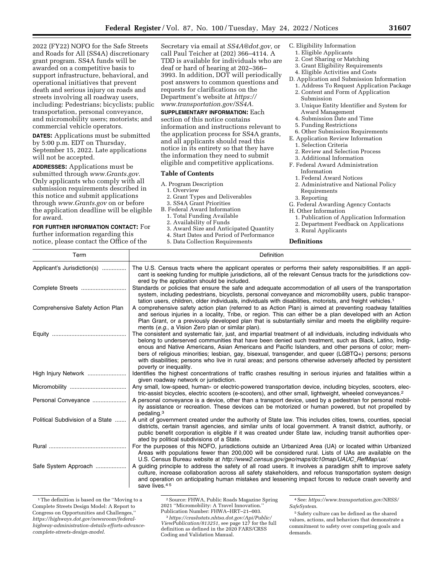2022 (FY22) NOFO for the Safe Streets and Roads for All (SS4A) discretionary grant program. SS4A funds will be awarded on a competitive basis to support infrastructure, behavioral, and operational initiatives that prevent death and serious injury on roads and streets involving all roadway users, including: Pedestrians; bicyclists; public

transportation, personal conveyance, and micromobility users; motorists; and commercial vehicle operators. **DATES:** Applications must be submitted by 5:00 p.m. EDT on Thursday, September 15, 2022. Late applications

will not be accepted. **ADDRESSES:** Applications must be submitted through *www.Grants.gov.*  Only applicants who comply with all submission requirements described in this notice and submit applications through *www.Grants.gov* on or before the application deadline will be eligible for award.

# **FOR FURTHER INFORMATION CONTACT:** For

further information regarding this notice, please contact the Office of the Secretary via email at *SS4A@dot.gov,* or call Paul Teicher at (202) 366–4114. A TDD is available for individuals who are deaf or hard of hearing at 202–366– 3993. In addition, DOT will periodically post answers to common questions and requests for clarifications on the Department's website at *https:// www.transportation.gov/SS4A.* 

**SUPPLEMENTARY INFORMATION:** Each section of this notice contains information and instructions relevant to the application process for SS4A grants, and all applicants should read this notice in its entirety so that they have the information they need to submit eligible and competitive applications.

#### **Table of Contents**

- A. Program Description
	- 1. Overview
- 2. Grant Types and Deliverables 3. SS4A Grant Priorities
- B. Federal Award Information
	-
	- 1. Total Funding Available 2. Availability of Funds
	-
	- 3. Award Size and Anticipated Quantity
	- 4. Start Dates and Period of Performance 5. Data Collection Requirements
- C. Eligibility Information
- 1. Eligible Applicants
- 2. Cost Sharing or Matching
- 3. Grant Eligibility Requirements
- 4. Eligible Activities and Costs
- D. Application and Submission Information
- 1. Address To Request Application Package 2. Content and Form of Application Submission
- 3. Unique Entity Identifier and System for Award Management
- 4. Submission Date and Time
- 5. Funding Restrictions
- 6. Other Submission Requirements
- E. Application Review Information 1. Selection Criteria
- 
- 2. Review and Selection Process
- 3. Additional Information F. Federal Award Administration Information
	-
	- 1. Federal Award Notices
	- 2. Administrative and National Policy Requirements
	- 3. Reporting

G. Federal Awarding Agency Contacts

- H. Other Information
- 1. Publication of Application Information
- 2. Department Feedback on Applications
- 3. Rural Applicants

**Definitions** 

| Term                             | Definition                                                                                                                                                                                                                                                                                                                                                                                                                                                                                                                                                                        |
|----------------------------------|-----------------------------------------------------------------------------------------------------------------------------------------------------------------------------------------------------------------------------------------------------------------------------------------------------------------------------------------------------------------------------------------------------------------------------------------------------------------------------------------------------------------------------------------------------------------------------------|
| Applicant's Jurisdiction(s)      | The U.S. Census tracts where the applicant operates or performs their safety responsibilities. If an appli-<br>cant is seeking funding for multiple jurisdictions, all of the relevant Census tracts for the jurisdictions cov-<br>ered by the application should be included.                                                                                                                                                                                                                                                                                                    |
| Complete Streets                 | Standards or policies that ensure the safe and adequate accommodation of all users of the transportation<br>system, including pedestrians, bicyclists, personal conveyance and micromobility users, public transpor-<br>tation users, children, older individuals, individuals with disabilities, motorists, and freight vehicles. <sup>1</sup>                                                                                                                                                                                                                                   |
| Comprehensive Safety Action Plan | A comprehensive safety action plan (referred to as Action Plan) is aimed at preventing roadway fatalities<br>and serious injuries in a locality, Tribe, or region. This can either be a plan developed with an Action<br>Plan Grant, or a previously developed plan that is substantially similar and meets the eligibility require-<br>ments (e.g., a Vision Zero plan or similar plan).                                                                                                                                                                                         |
|                                  | The consistent and systematic fair, just, and impartial treatment of all individuals, including individuals who<br>belong to underserved communities that have been denied such treatment, such as Black, Latino, Indig-<br>enous and Native Americans, Asian Americans and Pacific Islanders, and other persons of color; mem-<br>bers of religious minorities; lesbian, gay, bisexual, transgender, and queer (LGBTQ+) persons; persons<br>with disabilities; persons who live in rural areas; and persons otherwise adversely affected by persistent<br>poverty or inequality. |
| High Injury Network              | Identifies the highest concentrations of traffic crashes resulting in serious injuries and fatalities within a<br>given roadway network or jurisdiction.                                                                                                                                                                                                                                                                                                                                                                                                                          |
|                                  | Any small, low-speed, human- or electric-powered transportation device, including bicycles, scooters, elec-<br>tric-assist bicycles, electric scooters (e-scooters), and other small, lightweight, wheeled conveyances. <sup>2</sup>                                                                                                                                                                                                                                                                                                                                              |
| Personal Conveyance              | A personal conveyance is a device, other than a transport device, used by a pedestrian for personal mobil-<br>ity assistance or recreation. These devices can be motorized or human powered, but not propelled by<br>pedaling. <sup>3</sup>                                                                                                                                                                                                                                                                                                                                       |
| Political Subdivision of a State | A unit of government created under the authority of State law. This includes cities, towns, counties, special<br>districts, certain transit agencies, and similar units of local government. A transit district, authority, or<br>public benefit corporation is eligible if it was created under State law, including transit authorities oper-<br>ated by political subdivisions of a State.                                                                                                                                                                                     |
|                                  | For the purposes of this NOFO, jurisdictions outside an Urbanized Area (UA) or located within Urbanized<br>Areas with populations fewer than 200,000 will be considered rural. Lists of UAs are available on the<br>U.S. Census Bureau website at http://www2.census.gov/geo/maps/dc10map/UAUC_RefMap/ua/.                                                                                                                                                                                                                                                                        |
| Safe System Approach             | A guiding principle to address the safety of all road users. It involves a paradigm shift to improve safety<br>culture, increase collaboration across all safety stakeholders, and refocus transportation system design<br>and operation on anticipating human mistakes and lessening impact forces to reduce crash severity and<br>save lives. <sup>45</sup>                                                                                                                                                                                                                     |

<sup>&</sup>lt;sup>1</sup>The definition is based on the "Moving to a Complete Streets Design Model: A Report to Congress on Opportunities and Challenges,'' *https://highways.dot.gov/newsroom/federalhighway-administration-details-efforts-advancecomplete-streets-design-model*.

<sup>2</sup>Source: FHWA, Public Roads Magazine Spring 2021 ''Micromobility: A Travel Innovation.''

<sup>&</sup>lt;sup>3</sup> https://crashstats.nhtsa.dot.gov/Api/Public/ *ViewPublication/813251,* see page 127 for the full definition as defined in the 2020 FARS/CRSS Coding and Validation Manual.

<sup>4</sup>See: *https://www.transportation.gov/NRSS/ SafeSystem*. 5Safety culture can be defined as the shared

values, actions, and behaviors that demonstrate a commitment to safety over competing goals and demands.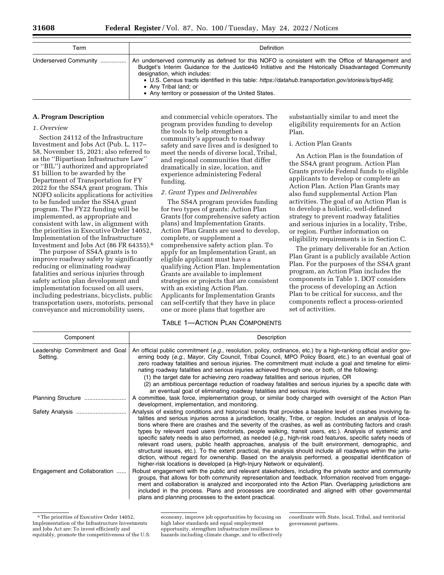| Term                  | <b>Definition</b>                                                                                                                                                                                                                                                                                                                                                                                                                  |
|-----------------------|------------------------------------------------------------------------------------------------------------------------------------------------------------------------------------------------------------------------------------------------------------------------------------------------------------------------------------------------------------------------------------------------------------------------------------|
| Underserved Community | An underserved community as defined for this NOFO is consistent with the Office of Management and<br>Budget's Interim Guidance for the Justice40 Initiative and the Historically Disadvantaged Community<br>designation, which includes:<br>• U.S. Census tracts identified in this table: https://datahub.transportation.gov/stories/s/tsyd-k6ij;<br>• Any Tribal land; or<br>• Any territory or possession of the United States. |

#### **A. Program Description**

### *1. Overview*

Section 24112 of the Infrastructure Investment and Jobs Act (Pub. L. 117– 58, November 15, 2021; also referred to as the ''Bipartisan Infrastructure Law'' or ''BIL'') authorized and appropriated \$1 billion to be awarded by the Department of Transportation for FY 2022 for the SS4A grant program. This NOFO solicits applications for activities to be funded under the SS4A grant program. The FY22 funding will be implemented, as appropriate and consistent with law, in alignment with the priorities in Executive Order 14052, Implementation of the Infrastructure Investment and Jobs Act (86 FR 64355).6

The purpose of SS4A grants is to improve roadway safety by significantly reducing or eliminating roadway fatalities and serious injuries through safety action plan development and implementation focused on all users, including pedestrians, bicyclists, public transportation users, motorists, personal conveyance and micromobility users,

and commercial vehicle operators. The program provides funding to develop the tools to help strengthen a community's approach to roadway safety and save lives and is designed to meet the needs of diverse local, Tribal, and regional communities that differ dramatically in size, location, and experience administering Federal funding.

#### *2. Grant Types and Deliverables*

The SS4A program provides funding for two types of grants: Action Plan Grants (for comprehensive safety action plans) and Implementation Grants. Action Plan Grants are used to develop, complete, or supplement a comprehensive safety action plan. To apply for an Implementation Grant, an eligible applicant must have a qualifying Action Plan. Implementation Grants are available to implement strategies or projects that are consistent with an existing Action Plan. Applicants for Implementation Grants can self-certify that they have in place one or more plans that together are

# TABLE 1—ACTION PLAN COMPONENTS

substantially similar to and meet the eligibility requirements for an Action Plan.

## i. Action Plan Grants

An Action Plan is the foundation of the SS4A grant program. Action Plan Grants provide Federal funds to eligible applicants to develop or complete an Action Plan. Action Plan Grants may also fund supplemental Action Plan activities. The goal of an Action Plan is to develop a holistic, well-defined strategy to prevent roadway fatalities and serious injuries in a locality, Tribe, or region. Further information on eligibility requirements is in Section C.

The primary deliverable for an Action Plan Grant is a publicly available Action Plan. For the purposes of the SS4A grant program, an Action Plan includes the components in Table 1. DOT considers the process of developing an Action Plan to be critical for success, and the components reflect a process-oriented set of activities.

| Component                                  | Description                                                                                                                                                                                                                                                                                                                                                                                                                                                                                                                                                                                                                                                                                                                                                                                                                                                                                                                                                                         |
|--------------------------------------------|-------------------------------------------------------------------------------------------------------------------------------------------------------------------------------------------------------------------------------------------------------------------------------------------------------------------------------------------------------------------------------------------------------------------------------------------------------------------------------------------------------------------------------------------------------------------------------------------------------------------------------------------------------------------------------------------------------------------------------------------------------------------------------------------------------------------------------------------------------------------------------------------------------------------------------------------------------------------------------------|
| Leadership Commitment and Goal<br>Setting. | An official public commitment (e.g., resolution, policy, ordinance, etc.) by a high-ranking official and/or gov-<br>erning body (e.g., Mayor, City Council, Tribal Council, MPO Policy Board, etc.) to an eventual goal of<br>zero roadway fatalities and serious injuries. The commitment must include a goal and timeline for elimi-<br>nating roadway fatalities and serious injuries achieved through one, or both, of the following:<br>(1) the target date for achieving zero roadway fatalities and serious injuries, OR<br>(2) an ambitious percentage reduction of roadway fatalities and serious injuries by a specific date with<br>an eventual goal of eliminating roadway fatalities and serious injuries.                                                                                                                                                                                                                                                             |
|                                            | A committee, task force, implementation group, or similar body charged with oversight of the Action Plan<br>development, implementation, and monitoring.                                                                                                                                                                                                                                                                                                                                                                                                                                                                                                                                                                                                                                                                                                                                                                                                                            |
| Safety Analysis                            | Analysis of existing conditions and historical trends that provides a baseline level of crashes involving fa-<br>talities and serious injuries across a jurisdiction, locality, Tribe, or region. Includes an analysis of loca-<br>tions where there are crashes and the severity of the crashes, as well as contributing factors and crash<br>types by relevant road users (motorists, people walking, transit users, etc.). Analysis of systemic and<br>specific safety needs is also performed, as needed (e.g., high-risk road features, specific safety needs of<br>relevant road users, public health approaches, analysis of the built environment, demographic, and<br>structural issues, etc.). To the extent practical, the analysis should include all roadways within the juris-<br>diction, without regard for ownership. Based on the analysis performed, a geospatial identification of<br>higher-risk locations is developed (a High-Injury Network or equivalent). |
| Engagement and Collaboration               | Robust engagement with the public and relevant stakeholders, including the private sector and community<br>groups, that allows for both community representation and feedback. Information received from engage-<br>ment and collaboration is analyzed and incorporated into the Action Plan. Overlapping jurisdictions are<br>included in the process. Plans and processes are coordinated and aligned with other governmental<br>plans and planning processes to the extent practical.                                                                                                                                                                                                                                                                                                                                                                                                                                                                                            |

<sup>6</sup>The priorities of Executive Order 14052, Implementation of the Infrastructure Investments and Jobs Act are: To invest efficiently and equitably, promote the competitiveness of the U.S.

economy, improve job opportunities by focusing on high labor standards and equal employment opportunity, strengthen infrastructure resilience to hazards including climate change, and to effectively

coordinate with State, local, Tribal, and territorial government partners.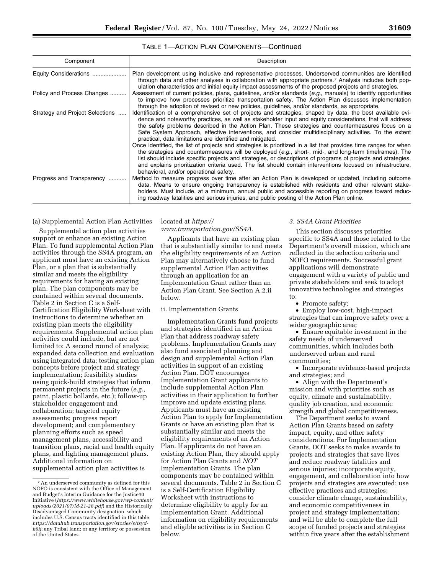### TABLE 1—ACTION PLAN COMPONENTS—Continued

| Component                       | Description                                                                                                                                                                                                                                                                                                                                                                                                                                                                                                                                                                                                                                                                                                                                                                                                                                                                                                                                                                                                  |
|---------------------------------|--------------------------------------------------------------------------------------------------------------------------------------------------------------------------------------------------------------------------------------------------------------------------------------------------------------------------------------------------------------------------------------------------------------------------------------------------------------------------------------------------------------------------------------------------------------------------------------------------------------------------------------------------------------------------------------------------------------------------------------------------------------------------------------------------------------------------------------------------------------------------------------------------------------------------------------------------------------------------------------------------------------|
| Equity Considerations           | Plan development using inclusive and representative processes. Underserved communities are identified<br>through data and other analyses in collaboration with appropriate partners. <sup>7</sup> Analysis includes both pop-<br>ulation characteristics and initial equity impact assessments of the proposed projects and strategies.                                                                                                                                                                                                                                                                                                                                                                                                                                                                                                                                                                                                                                                                      |
| Policy and Process Changes      | Assessment of current policies, plans, guidelines, and/or standards (e.g., manuals) to identify opportunities<br>to improve how processes prioritize transportation safety. The Action Plan discusses implementation<br>through the adoption of revised or new policies, guidelines, and/or standards, as appropriate.                                                                                                                                                                                                                                                                                                                                                                                                                                                                                                                                                                                                                                                                                       |
| Strategy and Project Selections | ldentification of a comprehensive set of projects and strategies, shaped by data, the best available evi-<br>dence and noteworthy practices, as well as stakeholder input and equity considerations, that will address<br>the safety problems described in the Action Plan. These strategies and countermeasures focus on a<br>Safe System Approach, effective interventions, and consider multidisciplinary activities. To the extent<br>practical, data limitations are identified and mitigated.<br>Once identified, the list of projects and strategies is prioritized in a list that provides time ranges for when<br>the strategies and countermeasures will be deployed (e.g., short-, mid-, and long-term timeframes). The<br>list should include specific projects and strategies, or descriptions of programs of projects and strategies,<br>and explains prioritization criteria used. The list should contain interventions focused on infrastructure,<br>behavioral, and/or operational safety. |
| Progress and Transparency       | Method to measure progress over time after an Action Plan is developed or updated, including outcome<br>data. Means to ensure ongoing transparency is established with residents and other relevant stake-<br>holders. Must include, at a minimum, annual public and accessible reporting on progress toward reduc-<br>ing roadway fatalities and serious injuries, and public posting of the Action Plan online.                                                                                                                                                                                                                                                                                                                                                                                                                                                                                                                                                                                            |

#### (a) Supplemental Action Plan Activities

Supplemental action plan activities support or enhance an existing Action Plan. To fund supplemental Action Plan activities through the SS4A program, an applicant must have an existing Action Plan, or a plan that is substantially similar and meets the eligibility requirements for having an existing plan. The plan components may be contained within several documents. Table 2 in Section C is a Self-Certification Eligibility Worksheet with instructions to determine whether an existing plan meets the eligibility requirements. Supplemental action plan activities could include, but are not limited to: A second round of analysis; expanded data collection and evaluation using integrated data; testing action plan concepts before project and strategy implementation; feasibility studies using quick-build strategies that inform permanent projects in the future (*e.g.,*  paint, plastic bollards, etc.); follow-up stakeholder engagement and collaboration; targeted equity assessments; progress report development; and complementary planning efforts such as speed management plans, accessibility and transition plans, racial and health equity plans, and lighting management plans. Additional information on supplemental action plan activities is

### located at *https:// www.transportation.gov/SS4A.*

Applicants that have an existing plan that is substantially similar to and meets the eligibility requirements of an Action Plan may alternatively choose to fund supplemental Action Plan activities through an application for an Implementation Grant rather than an Action Plan Grant. See Section A.2.ii below.

### ii. Implementation Grants

Implementation Grants fund projects and strategies identified in an Action Plan that address roadway safety problems. Implementation Grants may also fund associated planning and design and supplemental Action Plan activities in support of an existing Action Plan. DOT encourages Implementation Grant applicants to include supplemental Action Plan activities in their application to further improve and update existing plans. Applicants must have an existing Action Plan to apply for Implementation Grants or have an existing plan that is substantially similar and meets the eligibility requirements of an Action Plan. If applicants do not have an existing Action Plan, they should apply for Action Plan Grants and *NOT*  Implementation Grants. The plan components may be contained within several documents. Table 2 in Section C is a Self-Certification Eligibility Worksheet with instructions to determine eligibility to apply for an Implementation Grant. Additional information on eligibility requirements and eligible activities is in Section C below.

### *3. SS4A Grant Priorities*

This section discusses priorities specific to SS4A and those related to the Department's overall mission, which are reflected in the selection criteria and NOFO requirements. Successful grant applications will demonstrate engagement with a variety of public and private stakeholders and seek to adopt innovative technologies and strategies to:

• Promote safety;

• Employ low-cost, high-impact strategies that can improve safety over a wider geographic area;

• Ensure equitable investment in the safety needs of underserved communities, which includes both underserved urban and rural communities;

• Incorporate evidence-based projects and strategies; and

• Align with the Department's mission and with priorities such as equity, climate and sustainability, quality job creation, and economic strength and global competitiveness.

The Department seeks to award Action Plan Grants based on safety impact, equity, and other safety considerations. For Implementation Grants, DOT seeks to make awards to projects and strategies that save lives and reduce roadway fatalities and serious injuries; incorporate equity, engagement, and collaboration into how projects and strategies are executed; use effective practices and strategies; consider climate change, sustainability, and economic competitiveness in project and strategy implementation; and will be able to complete the full scope of funded projects and strategies within five years after the establishment

<sup>7</sup>An underserved community as defined for this NOFO is consistent with the Office of Management and Budget's Interim Guidance for the Justice40 Initiative (*https://www.whitehouse.gov/wp-content/ uploads/2021/07/M-21-28.pdf*) and the Historically Disadvantaged Community designation, which includes U.S. Census tracts identified in this table *https://datahub.transportation.gov/stories/s/tsydk6ij*; any Tribal land; or any territory or possession of the United States.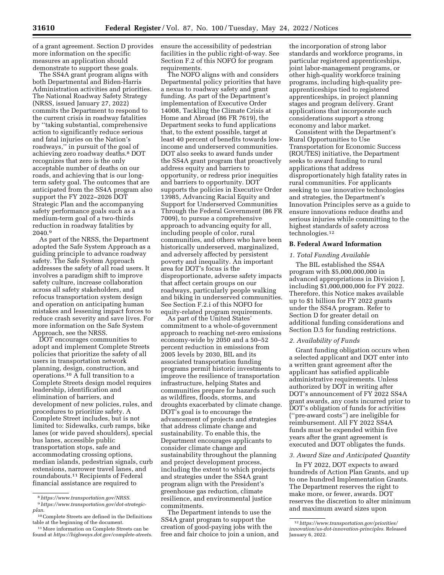of a grant agreement. Section D provides more information on the specific measures an application should demonstrate to support these goals.

The SS4A grant program aligns with both Departmental and Biden-Harris Administration activities and priorities. The National Roadway Safety Strategy (NRSS, issued January 27, 2022) commits the Department to respond to the current crisis in roadway fatalities by ''taking substantial, comprehensive action to significantly reduce serious and fatal injuries on the Nation's roadways,'' in pursuit of the goal of achieving zero roadway deaths.8 DOT recognizes that zero is the only acceptable number of deaths on our roads, and achieving that is our longterm safety goal. The outcomes that are anticipated from the SS4A program also support the FY 2022–2026 DOT Strategic Plan and the accompanying safety performance goals such as a medium-term goal of a two-thirds reduction in roadway fatalities by 2040.9

As part of the NRSS, the Department adopted the Safe System Approach as a guiding principle to advance roadway safety. The Safe System Approach addresses the safety of all road users. It involves a paradigm shift to improve safety culture, increase collaboration across all safety stakeholders, and refocus transportation system design and operation on anticipating human mistakes and lessening impact forces to reduce crash severity and save lives. For more information on the Safe System Approach, see the NRSS.

DOT encourages communities to adopt and implement Complete Streets policies that prioritize the safety of all users in transportation network planning, design, construction, and operations.<sup>10</sup>  $\overline{A}$  full transition to a Complete Streets design model requires leadership, identification and elimination of barriers, and development of new policies, rules, and procedures to prioritize safety. A Complete Street includes, but is not limited to: Sidewalks, curb ramps, bike lanes (or wide paved shoulders), special bus lanes, accessible public transportation stops, safe and accommodating crossing options, median islands, pedestrian signals, curb extensions, narrower travel lanes, and roundabouts.11 Recipients of Federal financial assistance are required to

ensure the accessibility of pedestrian facilities in the public right-of-way. See Section F.2 of this NOFO for program requirements.

The NOFO aligns with and considers Departmental policy priorities that have a nexus to roadway safety and grant funding. As part of the Department's implementation of Executive Order 14008, Tackling the Climate Crisis at Home and Abroad (86 FR 7619), the Department seeks to fund applications that, to the extent possible, target at least 40 percent of benefits towards lowincome and underserved communities. DOT also seeks to award funds under the SS4A grant program that proactively address equity and barriers to opportunity, or redress prior inequities and barriers to opportunity. DOT supports the policies in Executive Order 13985, Advancing Racial Equity and Support for Underserved Communities Through the Federal Government (86 FR 7009), to pursue a comprehensive approach to advancing equity for all, including people of color, rural communities, and others who have been historically underserved, marginalized, and adversely affected by persistent poverty and inequality. An important area for DOT's focus is the disproportionate, adverse safety impacts that affect certain groups on our roadways, particularly people walking and biking in underserved communities. See Section F.2.i of this NOFO for equity-related program requirements.

As part of the United States' commitment to a whole-of-government approach to reaching net-zero emissions economy-wide by 2050 and a 50–52 percent reduction in emissions from 2005 levels by 2030, BIL and its associated transportation funding programs permit historic investments to improve the resilience of transportation infrastructure, helping States and communities prepare for hazards such as wildfires, floods, storms, and droughts exacerbated by climate change. DOT's goal is to encourage the advancement of projects and strategies that address climate change and sustainability. To enable this, the Department encourages applicants to consider climate change and sustainability throughout the planning and project development process, including the extent to which projects and strategies under the SS4A grant program align with the President's greenhouse gas reduction, climate resilience, and environmental justice commitments.

The Department intends to use the SS4A grant program to support the creation of good-paying jobs with the free and fair choice to join a union, and

the incorporation of strong labor standards and workforce programs, in particular registered apprenticeships, joint labor-management programs, or other high-quality workforce training programs, including high-quality preapprenticeships tied to registered apprenticeships, in project planning stages and program delivery. Grant applications that incorporate such considerations support a strong economy and labor market.

Consistent with the Department's Rural Opportunities to Use Transportation for Economic Success (ROUTES) initiative, the Department seeks to award funding to rural applications that address disproportionately high fatality rates in rural communities. For applicants seeking to use innovative technologies and strategies, the Department's Innovation Principles serve as a guide to ensure innovations reduce deaths and serious injuries while committing to the highest standards of safety across technologies.12

#### **B. Federal Award Information**

#### *1. Total Funding Available*

The BIL established the SS4A program with \$5,000,000,000 in advanced appropriations in Division J, including \$1,000,000,000 for FY 2022. Therefore, this Notice makes available up to \$1 billion for FY 2022 grants under the SS4A program. Refer to Section D for greater detail on additional funding considerations and Section D.5 for funding restrictions.

#### *2. Availability of Funds*

Grant funding obligation occurs when a selected applicant and DOT enter into a written grant agreement after the applicant has satisfied applicable administrative requirements. Unless authorized by DOT in writing after DOT's announcement of FY 2022 SS4A grant awards, any costs incurred prior to DOT's obligation of funds for activities (''pre-award costs'') are ineligible for reimbursement. All FY 2022 SS4A funds must be expended within five years after the grant agreement is executed and DOT obligates the funds.

# *3. Award Size and Anticipated Quantity*

In FY 2022, DOT expects to award hundreds of Action Plan Grants, and up to one hundred Implementation Grants. The Department reserves the right to make more, or fewer, awards. DOT reserves the discretion to alter minimum and maximum award sizes upon

<sup>8</sup>*https://www.transportation.gov/NRSS*.

<sup>9</sup>*https://www.transportation.gov/dot-strategicplan*.

<sup>10</sup>Complete Streets are defined in the Definitions table at the beginning of the document.

<sup>&</sup>lt;sup>11</sup> More information on Complete Streets can be found at *https://highways.dot.gov/complete-streets*.

<sup>12</sup>*https://www.transportation.gov/priorities/ innovation/us-dot-innovation-principles.* Released January 6, 2022.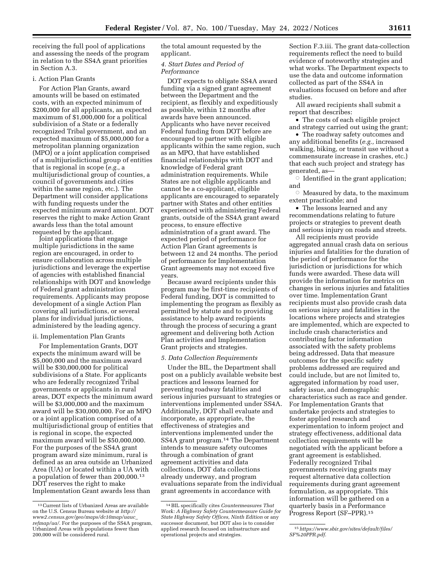receiving the full pool of applications and assessing the needs of the program in relation to the SS4A grant priorities in Section A.3.

# i. Action Plan Grants

For Action Plan Grants, award amounts will be based on estimated costs, with an expected minimum of \$200,000 for all applicants, an expected maximum of \$1,000,000 for a political subdivision of a State or a federally recognized Tribal government, and an expected maximum of \$5,000,000 for a metropolitan planning organization (MPO) or a joint application comprised of a multijurisdictional group of entities that is regional in scope (*e.g.,* a multijurisdictional group of counties, a council of governments and cities within the same region, etc.). The Department will consider applications with funding requests under the expected minimum award amount. DOT reserves the right to make Action Grant awards less than the total amount requested by the applicant.

Joint applications that engage multiple jurisdictions in the same region are encouraged, in order to ensure collaboration across multiple jurisdictions and leverage the expertise of agencies with established financial relationships with DOT and knowledge of Federal grant administration requirements. Applicants may propose development of a single Action Plan covering all jurisdictions, or several plans for individual jurisdictions, administered by the leading agency.

# ii. Implementation Plan Grants

For Implementation Grants, DOT expects the minimum award will be \$5,000,000 and the maximum award will be \$30,000,000 for political subdivisions of a State. For applicants who are federally recognized Tribal governments or applicants in rural areas, DOT expects the minimum award will be \$3,000,000 and the maximum award will be \$30,000,000. For an MPO or a joint application comprised of a multijurisdictional group of entities that is regional in scope, the expected maximum award will be \$50,000,000. For the purposes of the SS4A grant program award size minimum, rural is defined as an area outside an Urbanized Area (UA) or located within a UA with a population of fewer than 200,000.13 DOT reserves the right to make Implementation Grant awards less than

the total amount requested by the applicant.

# *4. Start Dates and Period of Performance*

DOT expects to obligate SS4A award funding via a signed grant agreement between the Department and the recipient, as flexibly and expeditiously as possible, within 12 months after awards have been announced. Applicants who have never received Federal funding from DOT before are encouraged to partner with eligible applicants within the same region, such as an MPO, that have established financial relationships with DOT and knowledge of Federal grant administration requirements. While States are not eligible applicants and cannot be a co-applicant, eligible applicants are encouraged to separately partner with States and other entities experienced with administering Federal grants, outside of the SS4A grant award process, to ensure effective administration of a grant award. The expected period of performance for Action Plan Grant agreements is between 12 and 24 months. The period of performance for Implementation Grant agreements may not exceed five years.

Because award recipients under this program may be first-time recipients of Federal funding, DOT is committed to implementing the program as flexibly as permitted by statute and to providing assistance to help award recipients through the process of securing a grant agreement and delivering both Action Plan activities and Implementation Grant projects and strategies.

### *5. Data Collection Requirements*

Under the BIL, the Department shall post on a publicly available website best practices and lessons learned for preventing roadway fatalities and serious injuries pursuant to strategies or interventions implemented under SS4A. Additionally, DOT shall evaluate and incorporate, as appropriate, the effectiveness of strategies and interventions implemented under the SS4A grant program.14 The Department intends to measure safety outcomes through a combination of grant agreement activities and data collections, DOT data collections already underway, and program evaluations separate from the individual grant agreements in accordance with

Section F.3.iii. The grant data-collection requirements reflect the need to build evidence of noteworthy strategies and what works. The Department expects to use the data and outcome information collected as part of the SS4A in evaluations focused on before and after studies.

All award recipients shall submit a report that describes:

• The costs of each eligible project and strategy carried out using the grant;

• The roadway safety outcomes and any additional benefits (*e.g.,* increased walking, biking, or transit use without a commensurate increase in crashes, etc.) that each such project and strategy has generated, as—

 $\circ$  Identified in the grant application; and

 $\circ$  Measured by data, to the maximum extent practicable; and

• The lessons learned and any recommendations relating to future projects or strategies to prevent death and serious injury on roads and streets.

All recipients must provide aggregated annual crash data on serious injuries and fatalities for the duration of the period of performance for the jurisdiction or jurisdictions for which funds were awarded. These data will provide the information for metrics on changes in serious injuries and fatalities over time. Implementation Grant recipients must also provide crash data on serious injury and fatalities in the locations where projects and strategies are implemented, which are expected to include crash characteristics and contributing factor information associated with the safety problems being addressed. Data that measure outcomes for the specific safety problems addressed are required and could include, but are not limited to, aggregated information by road user, safety issue, and demographic characteristics such as race and gender. For Implementation Grants that undertake projects and strategies to foster applied research and experimentation to inform project and strategy effectiveness, additional data collection requirements will be negotiated with the applicant before a grant agreement is established. Federally recognized Tribal governments receiving grants may request alternative data collection requirements during grant agreement formulation, as appropriate. This information will be gathered on a quarterly basis in a Performance Progress Report (SF–PPR).15

<sup>13</sup>Current lists of Urbanized Areas are available on the U.S. Census Bureau website at *http:// www2.census.gov/geo/maps/dc10map/uauc*\_ *refmap/ua/.* For the purposes of the SS4A program, Urbanized Areas with populations fewer than 200,000 will be considered rural.

<sup>14</sup>BIL specifically cites *Countermeasures That Work: A Highway Safety Countermeasure Guide for State Highway Safety Offices, Ninth Edition* or any successor document, but DOT also is to consider applied research focused on infrastructure and operational projects and strategies.

<sup>15</sup>*https://www.sbir.gov/sites/default/files/ SF%20PPR.pdf.*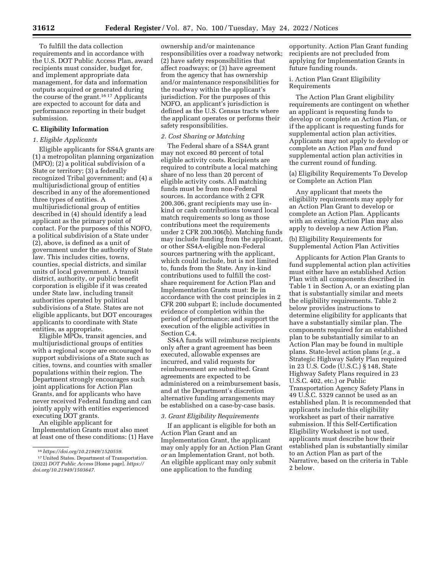To fulfill the data collection requirements and in accordance with the U.S. DOT Public Access Plan, award recipients must consider, budget for, and implement appropriate data management, for data and information outputs acquired or generated during the course of the grant.16 17 Applicants are expected to account for data and performance reporting in their budget submission.

### **C. Eligibility Information**

# *1. Eligible Applicants*

Eligible applicants for SS4A grants are (1) a metropolitan planning organization (MPO); (2) a political subdivision of a State or territory; (3) a federally recognized Tribal government; and (4) a multijurisdictional group of entities described in any of the aforementioned three types of entities. A multijurisdictional group of entities described in (4) should identify a lead applicant as the primary point of contact. For the purposes of this NOFO, a political subdivision of a State under (2), above, is defined as a unit of government under the authority of State law. This includes cities, towns, counties, special districts, and similar units of local government. A transit district, authority, or public benefit corporation is eligible if it was created under State law, including transit authorities operated by political subdivisions of a State. States are not eligible applicants, but DOT encourages applicants to coordinate with State entities, as appropriate.

Eligible MPOs, transit agencies, and multijurisdictional groups of entities with a regional scope are encouraged to support subdivisions of a State such as cities, towns, and counties with smaller populations within their region. The Department strongly encourages such joint applications for Action Plan Grants, and for applicants who have never received Federal funding and can jointly apply with entities experienced executing DOT grants.

An eligible applicant for Implementation Grants must also meet at least one of these conditions: (1) Have

ownership and/or maintenance responsibilities over a roadway network; (2) have safety responsibilities that affect roadways; or (3) have agreement from the agency that has ownership and/or maintenance responsibilities for the roadway within the applicant's jurisdiction. For the purposes of this NOFO, an applicant's jurisdiction is defined as the U.S. Census tracts where the applicant operates or performs their safety responsibilities.

# *2. Cost Sharing or Matching*

The Federal share of a SS4A grant may not exceed 80 percent of total eligible activity costs. Recipients are required to contribute a local matching share of no less than 20 percent of eligible activity costs. All matching funds must be from non-Federal sources. In accordance with 2 CFR 200.306, grant recipients may use inkind or cash contributions toward local match requirements so long as those contributions meet the requirements under 2 CFR 200.306(b). Matching funds may include funding from the applicant, or other SS4A-eligible non-Federal sources partnering with the applicant, which could include, but is not limited to, funds from the State. Any in-kind contributions used to fulfill the costshare requirement for Action Plan and Implementation Grants must: Be in accordance with the cost principles in 2 CFR 200 subpart E; include documented evidence of completion within the period of performance; and support the execution of the eligible activities in Section C.4.

SS4A funds will reimburse recipients only after a grant agreement has been executed, allowable expenses are incurred, and valid requests for reimbursement are submitted. Grant agreements are expected to be administered on a reimbursement basis, and at the Department's discretion alternative funding arrangements may be established on a case-by-case basis.

#### *3. Grant Eligibility Requirements*

If an applicant is eligible for both an Action Plan Grant and an Implementation Grant, the applicant may only apply for an Action Plan Grant *or* an Implementation Grant, not both. An eligible applicant may only submit one application to the funding

opportunity. Action Plan Grant funding recipients are not precluded from applying for Implementation Grants in future funding rounds.

i. Action Plan Grant Eligibility Requirements

The Action Plan Grant eligibility requirements are contingent on whether an applicant is requesting funds to develop or complete an Action Plan, or if the applicant is requesting funds for supplemental action plan activities. Applicants may not apply to develop or complete an Action Plan *and* fund supplemental action plan activities in the current round of funding.

(a) Eligibility Requirements To Develop or Complete an Action Plan

Any applicant that meets the eligibility requirements may apply for an Action Plan Grant to develop or complete an Action Plan. Applicants with an existing Action Plan may also apply to develop a new Action Plan.

(b) Eligibility Requirements for Supplemental Action Plan Activities

Applicants for Action Plan Grants to fund supplemental action plan activities must either have an established Action Plan with all components described in Table 1 in Section A, or an existing plan that is substantially similar and meets the eligibility requirements. Table 2 below provides instructions to determine eligibility for applicants that have a substantially similar plan. The components required for an established plan to be substantially similar to an Action Plan may be found in multiple plans. State-level action plans (*e.g.,* a Strategic Highway Safety Plan required in 23 U.S. Code (U.S.C.) § 148, State Highway Safety Plans required in 23 U.S.C. 402, etc.) or Public Transportation Agency Safety Plans in 49 U.S.C. 5329 cannot be used as an established plan. It is recommended that applicants include this eligibility worksheet as part of their narrative submission. If this Self-Certification Eligibility Worksheet is not used, applicants must describe how their established plan is substantially similar to an Action Plan as part of the Narrative, based on the criteria in Table 2 below.

<sup>16</sup>*https://doi.org/10.21949/1520559.* 

<sup>17</sup>United States. Department of Transportation. (2022) *DOT Public Access* [Home page]. *https:// doi.org/10.21949/1503647.*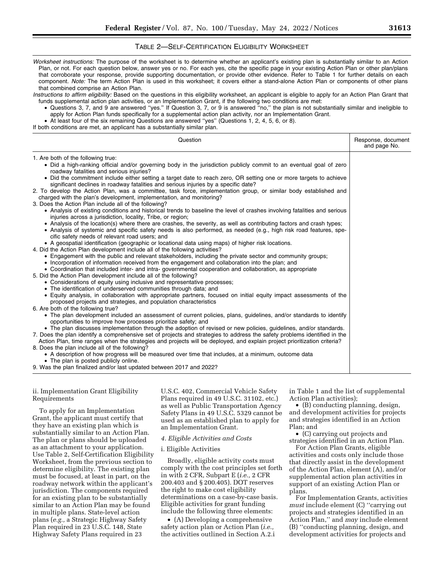# TABLE 2—SELF-CERTIFICATION ELIGIBILITY WORKSHEET

| Worksheet instructions: The purpose of the worksheet is to determine whether an applicant's existing plan is substantially similar to an Action<br>Plan, or not. For each question below, answer yes or no. For each yes, cite the specific page in your existing Action Plan or other plan/plans<br>that corroborate your response, provide supporting documentation, or provide other evidence. Refer to Table 1 for further details on each<br>component. Note: The term Action Plan is used in this worksheet; it covers either a stand-alone Action Plan or components of other plans<br>that combined comprise an Action Plan.<br>Instructions to affirm eligibility: Based on the questions in this eligibility worksheet, an applicant is eligible to apply for an Action Plan Grant that<br>funds supplemental action plan activities, or an Implementation Grant, if the following two conditions are met:<br>• Questions 3, 7, and 9 are answered "yes." If Question 3, 7, or 9 is answered "no," the plan is not substantially similar and ineligible to<br>apply for Action Plan funds specifically for a supplemental action plan activity, nor an Implementation Grant.<br>• At least four of the six remaining Questions are answered "yes" (Questions 1, 2, 4, 5, 6, or 8).<br>If both conditions are met, an applicant has a substantially similar plan.                                                                                                                                                                                                                                                                                                                                                                                                                                                                                                                                                                                                                                                                                                                                                                                                                                                                                                                                                                                                                                                                                                                                                                                                                                                                                                                                                                                                                                                                                                                                                                                                                     |                                    |
|------------------------------------------------------------------------------------------------------------------------------------------------------------------------------------------------------------------------------------------------------------------------------------------------------------------------------------------------------------------------------------------------------------------------------------------------------------------------------------------------------------------------------------------------------------------------------------------------------------------------------------------------------------------------------------------------------------------------------------------------------------------------------------------------------------------------------------------------------------------------------------------------------------------------------------------------------------------------------------------------------------------------------------------------------------------------------------------------------------------------------------------------------------------------------------------------------------------------------------------------------------------------------------------------------------------------------------------------------------------------------------------------------------------------------------------------------------------------------------------------------------------------------------------------------------------------------------------------------------------------------------------------------------------------------------------------------------------------------------------------------------------------------------------------------------------------------------------------------------------------------------------------------------------------------------------------------------------------------------------------------------------------------------------------------------------------------------------------------------------------------------------------------------------------------------------------------------------------------------------------------------------------------------------------------------------------------------------------------------------------------------------------------------------------------------------------------------------------------------------------------------------------------------------------------------------------------------------------------------------------------------------------------------------------------------------------------------------------------------------------------------------------------------------------------------------------------------------------------------------------------------------------------------------------------------------------------------------------------------------------|------------------------------------|
| Question                                                                                                                                                                                                                                                                                                                                                                                                                                                                                                                                                                                                                                                                                                                                                                                                                                                                                                                                                                                                                                                                                                                                                                                                                                                                                                                                                                                                                                                                                                                                                                                                                                                                                                                                                                                                                                                                                                                                                                                                                                                                                                                                                                                                                                                                                                                                                                                                                                                                                                                                                                                                                                                                                                                                                                                                                                                                                                                                                                                       | Response, document<br>and page No. |
| 1. Are both of the following true:<br>• Did a high-ranking official and/or governing body in the jurisdiction publicly commit to an eventual goal of zero<br>roadway fatalities and serious injuries?<br>• Did the commitment include either setting a target date to reach zero, OR setting one or more targets to achieve<br>significant declines in roadway fatalities and serious injuries by a specific date?<br>2. To develop the Action Plan, was a committee, task force, implementation group, or similar body established and<br>charged with the plan's development, implementation, and monitoring?<br>3. Does the Action Plan include all of the following?<br>• Analysis of existing conditions and historical trends to baseline the level of crashes involving fatalities and serious<br>injuries across a jurisdiction, locality, Tribe, or region;<br>• Analysis of the location(s) where there are crashes, the severity, as well as contributing factors and crash types;<br>• Analysis of systemic and specific safety needs is also performed, as needed (e.g., high risk road features, spe-<br>cific safety needs of relevant road users; and<br>• A geospatial identification (geographic or locational data using maps) of higher risk locations.<br>4. Did the Action Plan development include all of the following activities?<br>• Engagement with the public and relevant stakeholders, including the private sector and community groups;<br>• Incorporation of information received from the engagement and collaboration into the plan; and<br>• Coordination that included inter- and intra-governmental cooperation and collaboration, as appropriate<br>5. Did the Action Plan development include all of the following?<br>• Considerations of equity using inclusive and representative processes;<br>• The identification of underserved communities through data; and<br>• Equity analysis, in collaboration with appropriate partners, focused on initial equity impact assessments of the<br>proposed projects and strategies, and population characteristics<br>6. Are both of the following true?<br>• The plan development included an assessment of current policies, plans, guidelines, and/or standards to identify<br>opportunities to improve how processes prioritize safety; and<br>• The plan discusses implementation through the adoption of revised or new policies, guidelines, and/or standards.<br>7. Does the plan identify a comprehensive set of projects and strategies to address the safety problems identified in the<br>Action Plan, time ranges when the strategies and projects will be deployed, and explain project prioritization criteria?<br>8. Does the plan include all of the following?<br>• A description of how progress will be measured over time that includes, at a minimum, outcome data<br>• The plan is posted publicly online.<br>9. Was the plan finalized and/or last updated between 2017 and 2022? |                                    |

ii. Implementation Grant Eligibility Requirements

To apply for an Implementation Grant, the applicant must certify that they have an existing plan which is substantially similar to an Action Plan. The plan or plans should be uploaded as an attachment to your application. Use Table 2, Self-Certification Eligibility Worksheet, from the previous section to determine eligibility. The existing plan must be focused, at least in part, on the roadway network within the applicant's jurisdiction. The components required for an existing plan to be substantially similar to an Action Plan may be found in multiple plans. State-level action plans (*e.g.,* a Strategic Highway Safety Plan required in 23 U.S.C. 148, State Highway Safety Plans required in 23

U.S.C. 402, Commercial Vehicle Safety Plans required in 49 U.S.C. 31102, etc.) as well as Public Transportation Agency Safety Plans in 49 U.S.C. 5329 cannot be used as an established plan to apply for an Implementation Grant.

#### *4. Eligible Activities and Costs*

### i. Eligible Activities

Broadly, eligible activity costs must comply with the cost principles set forth in with 2 CFR, Subpart E (*i.e.,* 2 CFR 200.403 and § 200.405). DOT reserves the right to make cost eligibility determinations on a case-by-case basis. Eligible activities for grant funding include the following three elements:

• (A) Developing a comprehensive safety action plan or Action Plan (*i.e.,*  the activities outlined in Section A.2.i in Table 1 and the list of supplemental Action Plan activities);

• (B) conducting planning, design, and development activities for projects and strategies identified in an Action Plan; and

• (C) carrying out projects and strategies identified in an Action Plan.

For Action Plan Grants, eligible activities and costs only include those that directly assist in the development of the Action Plan, element (A), and/or supplemental action plan activities in support of an existing Action Plan or plans.

For Implementation Grants, activities *must* include element (C) ''carrying out projects and strategies identified in an Action Plan,'' and *may* include element (B) ''conducting planning, design, and development activities for projects and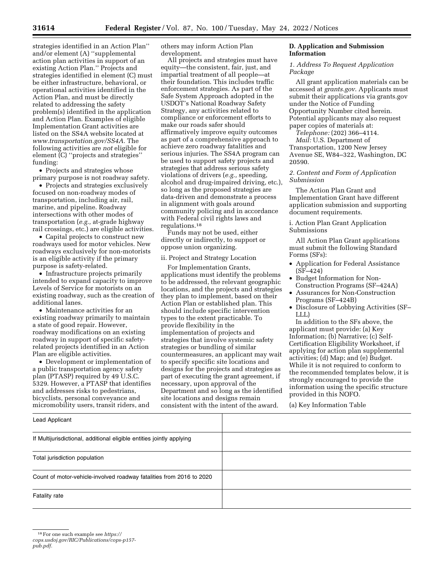strategies identified in an Action Plan'' and/or element (A) ''supplemental action plan activities in support of an existing Action Plan.'' Projects and strategies identified in element (C) must be either infrastructure, behavioral, or operational activities identified in the Action Plan, and must be directly related to addressing the safety problem(s) identified in the application and Action Plan. Examples of eligible Implementation Grant activities are listed on the SS4A website located at *www.transportation.gov/SS4A.* The following activities are *not* eligible for element (C) ''projects and strategies'' funding:

• Projects and strategies whose primary purpose is not roadway safety.

• Projects and strategies exclusively focused on non-roadway modes of transportation, including air, rail, marine, and pipeline. Roadway intersections with other modes of transportation (*e.g.,* at-grade highway rail crossings, etc.) are eligible activities.

• Capital projects to construct new roadways used for motor vehicles. New roadways exclusively for non-motorists is an eligible activity if the primary purpose is safety-related.

• Infrastructure projects primarily intended to expand capacity to improve Levels of Service for motorists on an existing roadway, such as the creation of additional lanes.

• Maintenance activities for an existing roadway primarily to maintain a state of good repair. However, roadway modifications on an existing roadway in support of specific safetyrelated projects identified in an Action Plan are eligible activities.

• Development or implementation of a public transportation agency safety plan (PTASP) required by 49 U.S.C. 5329. However, a PTASP that identifies and addresses risks to pedestrians, bicyclists, personal conveyance and micromobility users, transit riders, and

others may inform Action Plan development.

All projects and strategies must have equity—the consistent, fair, just, and impartial treatment of all people—at their foundation. This includes traffic enforcement strategies. As part of the Safe System Approach adopted in the USDOT's National Roadway Safety Strategy, any activities related to compliance or enforcement efforts to make our roads safer should affirmatively improve equity outcomes as part of a comprehensive approach to achieve zero roadway fatalities and serious injuries. The SS4A program can be used to support safety projects and strategies that address serious safety violations of drivers (*e.g.,* speeding, alcohol and drug-impaired driving, etc.), so long as the proposed strategies are data-driven and demonstrate a process in alignment with goals around community policing and in accordance with Federal civil rights laws and regulations.18

Funds may not be used, either directly or indirectly, to support or oppose union organizing.

#### ii. Project and Strategy Location

For Implementation Grants, applications must identify the problems to be addressed, the relevant geographic locations, and the projects and strategies they plan to implement, based on their Action Plan or established plan. This should include specific intervention types to the extent practicable. To provide flexibility in the implementation of projects and strategies that involve systemic safety strategies or bundling of similar countermeasures, an applicant may wait to specify specific site locations and designs for the projects and strategies as part of executing the grant agreement, if necessary, upon approval of the Department and so long as the identified site locations and designs remain consistent with the intent of the award.

# **D. Application and Submission Information**

*1. Address To Request Application Package* 

All grant application materials can be accessed at *grants.gov*. Applicants must submit their applications via grants.gov under the Notice of Funding Opportunity Number cited herein. Potential applicants may also request paper copies of materials at:

*Telephone:* (202) 366–4114. *Mail:* U.S. Department of Transportation, 1200 New Jersey Avenue SE, W84–322, Washington, DC 20590.

# *2. Content and Form of Application Submission*

The Action Plan Grant and Implementation Grant have different application submission and supporting document requirements.

i. Action Plan Grant Application Submissions

All Action Plan Grant applications must submit the following Standard Forms (SFs):

- Application for Federal Assistance (SF–424)
- Budget Information for Non-Construction Programs (SF–424A)
- Assurances for Non-Construction Programs (SF–424B)
- Disclosure of Lobbying Activities (SF– LLL)

In addition to the SFs above, the applicant must provide: (a) Key Information; (b) Narrative; (c) Self-Certification Eligibility Worksheet, if applying for action plan supplemental activities; (d) Map; and (e) Budget. While it is not required to conform to the recommended templates below, it is strongly encouraged to provide the information using the specific structure provided in this NOFO.

(a) Key Information Table

| Lead Applicant                                                        |  |
|-----------------------------------------------------------------------|--|
| If Multijurisdictional, additional eligible entities jointly applying |  |
| Total jurisdiction population                                         |  |
| Count of motor-vehicle-involved roadway fatalities from 2016 to 2020  |  |
| Fatality rate                                                         |  |

*pub.pdf.* 

<sup>18</sup>For one such example see *https://*

*cops.usdoj.gov/RIC/Publications/cops-p157-*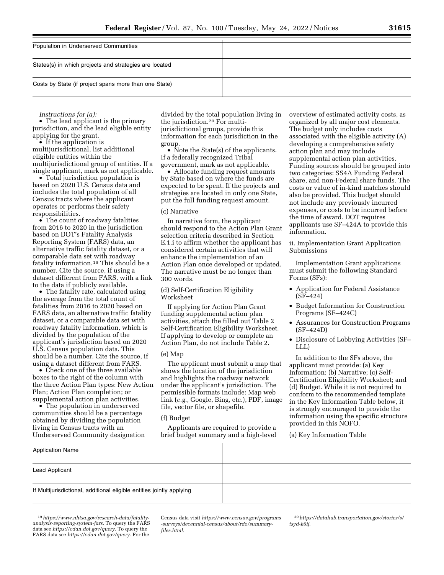| Population in Underserved Communities                  |  |
|--------------------------------------------------------|--|
|                                                        |  |
|                                                        |  |
|                                                        |  |
| States(s) in which projects and strategies are located |  |
|                                                        |  |
|                                                        |  |
|                                                        |  |
| Costs by State (if project spans more than one State)  |  |
|                                                        |  |
|                                                        |  |

*Instructions for (a):* 

• The lead applicant is the primary jurisdiction, and the lead eligible entity applying for the grant.

• If the application is multijurisdictional, list additional eligible entities within the multijurisdictional group of entities. If a single applicant, mark as not applicable.

• Total jurisdiction population is based on 2020 U.S. Census data and includes the total population of all Census tracts where the applicant operates or performs their safety responsibilities.

• The count of roadway fatalities from 2016 to 2020 in the jurisdiction based on DOT's Fatality Analysis Reporting System (FARS) data, an alternative traffic fatality dataset, or a comparable data set with roadway fatality information.19 This should be a number. Cite the source, if using a dataset different from FARS, with a link to the data if publicly available.

• The fatality rate, calculated using the average from the total count of fatalities from 2016 to 2020 based on FARS data, an alternative traffic fatality dataset, or a comparable data set with roadway fatality information, which is divided by the population of the applicant's jurisdiction based on 2020 U.S. Census population data. This should be a number. Cite the source, if using a dataset different from FARS.

• Check one of the three available boxes to the right of the column with the three Action Plan types: New Action Plan; Action Plan completion; or supplemental action plan activities.

• The population in underserved communities should be a percentage obtained by dividing the population living in Census tracts with an Underserved Community designation

divided by the total population living in the jurisdiction.20 For multijurisdictional groups, provide this information for each jurisdiction in the group.

• Note the State(s) of the applicants. If a federally recognized Tribal government, mark as not applicable.

• Allocate funding request amounts by State based on where the funds are expected to be spent. If the projects and strategies are located in only one State, put the full funding request amount.

### (c) Narrative

In narrative form, the applicant should respond to the Action Plan Grant selection criteria described in Section E.1.i to affirm whether the applicant has considered certain activities that will enhance the implementation of an Action Plan once developed or updated. The narrative must be no longer than 300 words.

(d) Self-Certification Eligibility Worksheet

If applying for Action Plan Grant funding supplemental action plan activities, attach the filled out Table 2 Self-Certification Eligibility Worksheet. If applying to develop or complete an Action Plan, do not include Table 2.

### (e) Map

The applicant must submit a map that shows the location of the jurisdiction and highlights the roadway network under the applicant's jurisdiction. The permissible formats include: Map web link (*e.g.,* Google, Bing, etc.), PDF, image file, vector file, or shapefile.

# (f) Budget

Applicants are required to provide a brief budget summary and a high-level overview of estimated activity costs, as organized by all major cost elements. The budget only includes costs associated with the eligible activity (A) developing a comprehensive safety action plan and may include supplemental action plan activities. Funding sources should be grouped into two categories: SS4A Funding Federal share, and non-Federal share funds. The costs or value of in-kind matches should also be provided. This budget should not include any previously incurred expenses, or costs to be incurred before the time of award. DOT requires applicants use SF–424A to provide this information.

ii. Implementation Grant Application Submissions

Implementation Grant applications must submit the following Standard Forms (SFs):

- Application for Federal Assistance (SF–424)
- Budget Information for Construction Programs (SF–424C)
- Assurances for Construction Programs (SF–424D)
- Disclosure of Lobbying Activities (SF– LLL)

In addition to the SFs above, the applicant must provide: (a) Key Information; (b) Narrative; (c) Self-Certification Eligibility Worksheet; and (d) Budget. While it is not required to conform to the recommended template in the Key Information Table below, it is strongly encouraged to provide the information using the specific structure provided in this NOFO.

(a) Key Information Table

| Application Name                                                      |  |
|-----------------------------------------------------------------------|--|
| Lead Applicant                                                        |  |
| If Multijurisdictional, additional eligible entities jointly applying |  |
|                                                                       |  |

Census data visit *https://www.census.gov/programs -surveys/decennial-census/about/rdo/summaryfiles.html.* 

<sup>19</sup>*https://www.nhtsa.gov/research-data/fatalityanalysis-reporting-system-fars.* To query the FARS data see *https://cdan.dot.gov/query.* To query the FARS data see *https://cdan.dot.gov/query.* For the

<sup>20</sup>*https://datahub.transportation.gov/stories/s/ tsyd-k6ij.*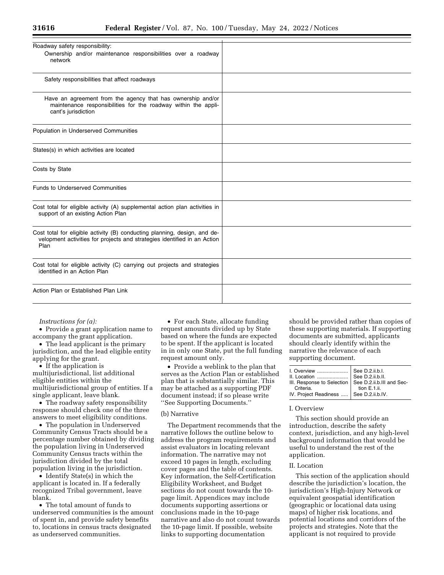| Roadway safety responsibility:                                                                                                                                |  |
|---------------------------------------------------------------------------------------------------------------------------------------------------------------|--|
| Ownership and/or maintenance responsibilities over a roadway<br>network                                                                                       |  |
| Safety responsibilities that affect roadways                                                                                                                  |  |
| Have an agreement from the agency that has ownership and/or<br>maintenance responsibilities for the roadway within the appli-<br>cant's jurisdiction          |  |
| Population in Underserved Communities                                                                                                                         |  |
| States(s) in which activities are located                                                                                                                     |  |
| Costs by State                                                                                                                                                |  |
| <b>Funds to Underserved Communities</b>                                                                                                                       |  |
| Cost total for eligible activity (A) supplemental action plan activities in<br>support of an existing Action Plan                                             |  |
| Cost total for eligible activity (B) conducting planning, design, and de-<br>velopment activities for projects and strategies identified in an Action<br>Plan |  |
| Cost total for eligible activity (C) carrying out projects and strategies<br>identified in an Action Plan                                                     |  |
| Action Plan or Established Plan Link                                                                                                                          |  |

*Instructions for (a):* 

• Provide a grant application name to accompany the grant application.

• The lead applicant is the primary jurisdiction, and the lead eligible entity applying for the grant.

• If the application is multijurisdictional, list additional eligible entities within the multijurisdictional group of entities. If a single applicant, leave blank.

• The roadway safety responsibility response should check one of the three answers to meet eligibility conditions.

• The population in Underserved Community Census Tracts should be a percentage number obtained by dividing the population living in Underserved Community Census tracts within the jurisdiction divided by the total population living in the jurisdiction.

• Identify State(s) in which the applicant is located in. If a federally recognized Tribal government, leave blank.

• The total amount of funds to underserved communities is the amount of spent in, and provide safety benefits to, locations in census tracts designated as underserved communities.

• For each State, allocate funding request amounts divided up by State based on where the funds are expected to be spent. If the applicant is located in in only one State, put the full funding request amount only.

• Provide a weblink to the plan that serves as the Action Plan or established plan that is substantially similar. This may be attached as a supporting PDF document instead; if so please write ''See Supporting Documents.''

#### (b) Narrative

The Department recommends that the narrative follows the outline below to address the program requirements and assist evaluators in locating relevant information. The narrative may not exceed 10 pages in length, excluding cover pages and the table of contents. Key information, the Self-Certification Eligibility Worksheet, and Budget sections do not count towards the 10 page limit. Appendices may include documents supporting assertions or conclusions made in the 10-page narrative and also do not count towards the 10-page limit. If possible, website links to supporting documentation

should be provided rather than copies of these supporting materials. If supporting documents are submitted, applicants should clearly identify within the narrative the relevance of each supporting document.

| Criteria.                               | tion $E.1$ .ii. |
|-----------------------------------------|-----------------|
| IV. Project Readiness  See D.2.ii.b.IV. |                 |
|                                         |                 |

#### I. Overview

This section should provide an introduction, describe the safety context, jurisdiction, and any high-level background information that would be useful to understand the rest of the application.

#### II. Location

This section of the application should describe the jurisdiction's location, the jurisdiction's High-Injury Network or equivalent geospatial identification (geographic or locational data using maps) of higher risk locations, and potential locations and corridors of the projects and strategies. Note that the applicant is not required to provide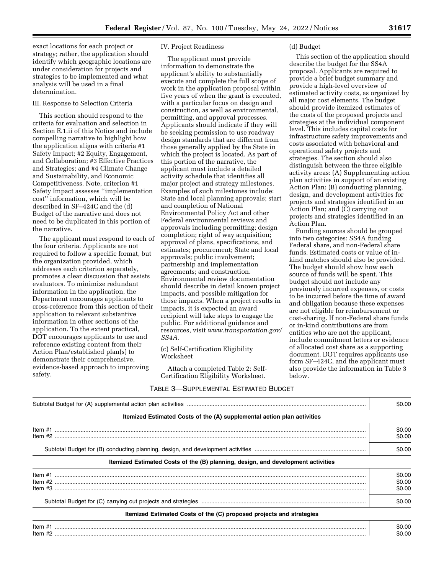exact locations for each project or strategy; rather, the application should identify which geographic locations are under consideration for projects and strategies to be implemented and what analysis will be used in a final determination.

### III. Response to Selection Criteria

This section should respond to the criteria for evaluation and selection in Section E.1.ii of this Notice and include compelling narrative to highlight how the application aligns with criteria #1 Safety Impact; #2 Equity, Engagement, and Collaboration; #3 Effective Practices and Strategies; and #4 Climate Change and Sustainability, and Economic Competitiveness. Note, criterion #1 Safety Impact assesses ''implementation cost'' information, which will be described in SF–424C and the (d) Budget of the narrative and does not need to be duplicated in this portion of the narrative.

The applicant must respond to each of the four criteria. Applicants are not required to follow a specific format, but the organization provided, which addresses each criterion separately, promotes a clear discussion that assists evaluators. To minimize redundant information in the application, the Department encourages applicants to cross-reference from this section of their application to relevant substantive information in other sections of the application. To the extent practical, DOT encourages applicants to use and reference existing content from their Action Plan/established plan(s) to demonstrate their comprehensive, evidence-based approach to improving safety.

### IV. Project Readiness

The applicant must provide information to demonstrate the applicant's ability to substantially execute and complete the full scope of work in the application proposal within five years of when the grant is executed, with a particular focus on design and construction, as well as environmental, permitting, and approval processes. Applicants should indicate if they will be seeking permission to use roadway design standards that are different from those generally applied by the State in which the project is located. As part of this portion of the narrative, the applicant must include a detailed activity schedule that identifies all major project and strategy milestones. Examples of such milestones include: State and local planning approvals; start and completion of National Environmental Policy Act and other Federal environmental reviews and approvals including permitting; design completion; right of way acquisition; approval of plans, specifications, and estimates; procurement; State and local approvals; public involvement; partnership and implementation agreements; and construction. Environmental review documentation should describe in detail known project impacts, and possible mitigation for those impacts. When a project results in impacts, it is expected an award recipient will take steps to engage the public. For additional guidance and resources, visit *www.transportation.gov/ SS4A.* 

### (c) Self-Certification Eligibility Worksheet

Attach a completed Table 2: Self-Certification Eligibility Worksheet.

# TABLE 3—SUPPLEMENTAL ESTIMATED BUDGET

#### (d) Budget

This section of the application should describe the budget for the SS4A proposal. Applicants are required to provide a brief budget summary and provide a high-level overview of estimated activity costs, as organized by all major cost elements. The budget should provide itemized estimates of the costs of the proposed projects and strategies at the individual component level. This includes capital costs for infrastructure safety improvements and costs associated with behavioral and operational safety projects and strategies. The section should also distinguish between the three eligible activity areas: (A) Supplementing action plan activities in support of an existing Action Plan; (B) conducting planning, design, and development activities for projects and strategies identified in an Action Plan; and (C) carrying out projects and strategies identified in an Action Plan.

Funding sources should be grouped into two categories: SS4A funding Federal share, and non-Federal share funds. Estimated costs or value of inkind matches should also be provided. The budget should show how each source of funds will be spent. This budget should not include any previously incurred expenses, or costs to be incurred before the time of award and obligation because these expenses are not eligible for reimbursement or cost-sharing. If non-Federal share funds or in-kind contributions are from entities who are not the applicant, include commitment letters or evidence of allocated cost share as a supporting document. DOT requires applicants use form SF–424C, and the applicant must also provide the information in Table 3 below.

|                                                                                  | \$0.00                     |
|----------------------------------------------------------------------------------|----------------------------|
| Itemized Estimated Costs of the (A) supplemental action plan activities          |                            |
|                                                                                  | \$0.00<br>\$0.00           |
|                                                                                  | \$0.00                     |
| Itemized Estimated Costs of the (B) planning, design, and development activities |                            |
|                                                                                  | \$0.00<br>\$0.00<br>\$0.00 |
|                                                                                  | \$0.00                     |
| Itemized Estimated Costs of the (C) proposed projects and strategies             |                            |
|                                                                                  | \$0.00<br>\$0.00           |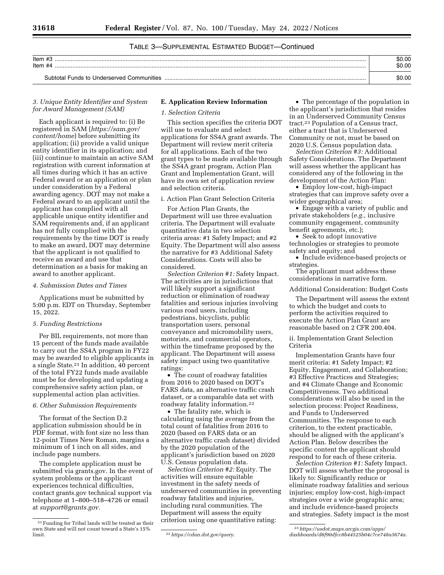# TABLE 3—SUPPLEMENTAL ESTIMATED BUDGET—Continued

| Item $#3$<br>Item #4                      | \$0.00<br>\$0.00 |
|-------------------------------------------|------------------|
| Subtotal Funds to Underserved Communities | \$0.00           |

# *3. Unique Entity Identifier and System for Award Management (SAM)*

Each applicant is required to: (i) Be registered in SAM (*https://sam.gov/ content/home*) before submitting its application; (ii) provide a valid unique entity identifier in its application; and (iii) continue to maintain an active SAM registration with current information at all times during which it has an active Federal award or an application or plan under consideration by a Federal awarding agency. DOT may not make a Federal award to an applicant until the applicant has complied with all applicable unique entity identifier and SAM requirements and, if an applicant has not fully complied with the requirements by the time DOT is ready to make an award, DOT may determine that the applicant is not qualified to receive an award and use that determination as a basis for making an award to another applicant.

#### *4. Submission Dates and Times*

Applications must be submitted by 5:00 p.m. EDT on Thursday, September 15, 2022.

#### *5. Funding Restrictions*

Per BIL requirements, not more than 15 percent of the funds made available to carry out the SS4A program in FY22 may be awarded to eligible applicants in a single State.21 In addition, 40 percent of the total FY22 funds made available must be for developing and updating a comprehensive safety action plan, or supplemental action plan activities.

#### *6. Other Submission Requirements*

The format of the Section D.2 application submission should be in PDF format, with font size no less than 12-point Times New Roman, margins a minimum of 1 inch on all sides, and include page numbers.

The complete application must be submitted via grants.gov. In the event of system problems or the applicant experiences technical difficulties, contact grants.gov technical support via telephone at 1–800–518–4726 or email at *support@grants.gov.* 

### **E. Application Review Information**

# *1. Selection Criteria*

This section specifies the criteria DOT will use to evaluate and select applications for SS4A grant awards. The Department will review merit criteria for all applications. Each of the two grant types to be made available through the SS4A grant program, Action Plan Grant and Implementation Grant, will have its own set of application review and selection criteria.

i. Action Plan Grant Selection Criteria

For Action Plan Grants, the Department will use three evaluation criteria. The Department will evaluate quantitative data in two selection criteria areas: #1 Safety Impact; and #2 Equity. The Department will also assess the narrative for #3 Additional Safety Considerations. Costs will also be considered.

*Selection Criterion #1:* Safety Impact. The activities are in jurisdictions that will likely support a significant reduction or elimination of roadway fatalities and serious injuries involving various road users, including pedestrians, bicyclists, public transportation users, personal conveyance and micromobility users, motorists, and commercial operators, within the timeframe proposed by the applicant. The Department will assess safety impact using two quantitative ratings:

• The count of roadway fatalities from 2016 to 2020 based on DOT's FARS data, an alternative traffic crash dataset, or a comparable data set with roadway fatality information.22

• The fatality rate, which is calculating using the average from the total count of fatalities from 2016 to 2020 (based on FARS data or an alternative traffic crash dataset) divided by the 2020 population of the applicant's jurisdiction based on 2020 U.S. Census population data.

*Selection Criterion #2:* Equity. The activities will ensure equitable investment in the safety needs of underserved communities in preventing roadway fatalities and injuries, including rural communities. The Department will assess the equity criterion using one quantitative rating:

• The percentage of the population in the applicant's jurisdiction that resides in an Underserved Community Census tract.23 Population of a Census tract, either a tract that is Underserved Community or not, must be based on 2020 U.S. Census population data.

*Selection Criterion #3:* Additional Safety Considerations. The Department will assess whether the applicant has considered any of the following in the development of the Action Plan:

• Employ low-cost, high-impact strategies that can improve safety over a wider geographical area;

• Engage with a variety of public and private stakeholders (*e.g.,* inclusive community engagement, community benefit agreements, etc.);

• Seek to adopt innovative technologies or strategies to promote safety and equity; and

• Include evidence-based projects or strategies.

The applicant must address these considerations in narrative form.

Additional Consideration: Budget Costs

The Department will assess the extent to which the budget and costs to perform the activities required to execute the Action Plan Grant are reasonable based on 2 CFR 200.404.

ii. Implementation Grant Selection Criteria

Implementation Grants have four merit criteria: #1 Safety Impact; #2 Equity, Engagement, and Collaboration; #3 Effective Practices and Strategies; and #4 Climate Change and Economic Competitiveness. Two additional considerations will also be used in the selection process: Project Readiness, and Funds to Underserved Communities. The response to each criterion, to the extent practicable, should be aligned with the applicant's Action Plan. Below describes the specific content the applicant should respond to for each of these criteria.

*Selection Criterion #1:* Safety Impact. DOT will assess whether the proposal is likely to: Significantly reduce or eliminate roadway fatalities and serious injuries; employ low-cost, high-impact strategies over a wide geographic area; and include evidence-based projects and strategies. Safety impact is the most

<sup>21</sup>Funding for Tribal lands will be treated as their own State and will not count toward a State's 15%

limit. 22*https://cdan.dot.gov/query.* 

<sup>23</sup>*https://usdot.maps.arcgis.com/apps/ dashboards/d6f90dfcc8b44525b04c7ce748a3674a.*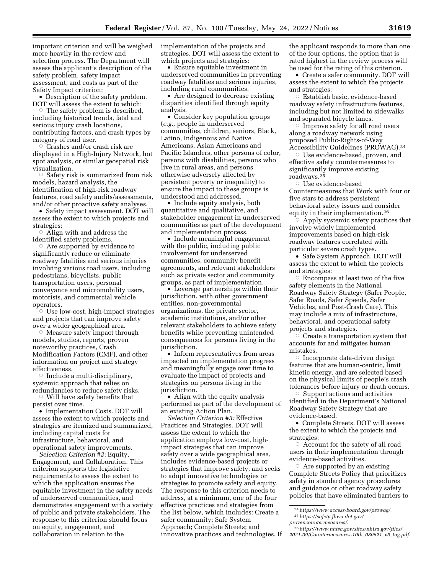important criterion and will be weighed more heavily in the review and selection process. The Department will assess the applicant's description of the safety problem, safety impact assessment, and costs as part of the Safety Impact criterion:

• Description of the safety problem. DOT will assess the extent to which:

Æ The safety problem is described, including historical trends, fatal and serious injury crash locations, contributing factors, and crash types by category of road user.

 $\circ$  Crashes and/or crash risk are displayed in a High-Injury Network, hot spot analysis, or similar geospatial risk visualization.

 $\circ$  Safety risk is summarized from risk models, hazard analysis, the identification of high-risk roadway features, road safety audits/assessments, and/or other proactive safety analyses.

• Safety impact assessment. DOT will assess the extent to which projects and strategies:

 $\circ$  Align with and address the identified safety problems.

 $\circ$  Are supported by evidence to significantly reduce or eliminate roadway fatalities and serious injuries involving various road users, including pedestrians, bicyclists, public transportation users, personal conveyance and micromobility users, motorists, and commercial vehicle operators.

 $\circ$  Use low-cost, high-impact strategies and projects that can improve safety over a wider geographical area.

**Measure safety impact through** models, studies, reports, proven noteworthy practices, Crash Modification Factors (CMF), and other information on project and strategy effectiveness.

 $\circ$  Include a multi-disciplinary, systemic approach that relies on redundancies to reduce safety risks.  $\circ$  Will have safety benefits that

persist over time.

• Implementation Costs. DOT will assess the extent to which projects and strategies are itemized and summarized, including capital costs for infrastructure, behavioral, and operational safety improvements.

*Selection Criterion #2:* Equity, Engagement, and Collaboration. This criterion supports the legislative requirements to assess the extent to which the application ensures the equitable investment in the safety needs of underserved communities, and demonstrates engagement with a variety of public and private stakeholders. The response to this criterion should focus on equity, engagement, and collaboration in relation to the

implementation of the projects and strategies. DOT will assess the extent to which projects and strategies:

• Ensure equitable investment in underserved communities in preventing roadway fatalities and serious injuries, including rural communities.

• Are designed to decrease existing disparities identified through equity analysis.

• Consider key population groups (*e.g.,* people in underserved communities, children, seniors, Black, Latino, Indigenous and Native Americans, Asian Americans and Pacific Islanders, other persons of color, persons with disabilities, persons who live in rural areas, and persons otherwise adversely affected by persistent poverty or inequality) to ensure the impact to these groups is understood and addressed.

• Include equity analysis, both quantitative and qualitative, and stakeholder engagement in underserved communities as part of the development and implementation process.

• Include meaningful engagement with the public, including public involvement for underserved communities, community benefit agreements, and relevant stakeholders such as private sector and community groups, as part of implementation.

• Leverage partnerships within their jurisdiction, with other government entities, non-governmental organizations, the private sector, academic institutions, and/or other relevant stakeholders to achieve safety benefits while preventing unintended consequences for persons living in the jurisdiction.

• Inform representatives from areas impacted on implementation progress and meaningfully engage over time to evaluate the impact of projects and strategies on persons living in the jurisdiction.

• Align with the equity analysis performed as part of the development of an existing Action Plan.

*Selection Criterion #3:* Effective Practices and Strategies. DOT will assess the extent to which the application employs low-cost, highimpact strategies that can improve safety over a wide geographical area, includes evidence-based projects or strategies that improve safety, and seeks to adopt innovative technologies or strategies to promote safety and equity. The response to this criterion needs to address, at a minimum, one of the four effective practices and strategies from the list below, which includes: Create a safer community; Safe System Approach; Complete Streets; and innovative practices and technologies. If

the applicant responds to more than one of the four options, the option that is rated highest in the review process will be used for the rating of this criterion.

• Create a safer community. DOT will assess the extent to which the projects and strategies:

 $\circ$  Establish basic, evidence-based roadway safety infrastructure features, including but not limited to sidewalks and separated bicycle lanes.

 $\circ$  Improve safety for all road users along a roadway network using proposed Public-Rights-of-Way Accessibility Guidelines (PROWAG).24

 $\circ$  Use evidence-based, proven, and effective safety countermeasures to significantly improve existing roadways.25

 $\circ$  Use evidence-based Countermeasures that Work with four or five stars to address persistent behavioral safety issues and consider equity in their implementation.26

 $\circ$  Apply systemic safety practices that involve widely implemented improvements based on high-risk roadway features correlated with particular severe crash types.

• Safe System Approach. DOT will assess the extent to which the projects and strategies:

 $\circ$  Encompass at least two of the five safety elements in the National Roadway Safety Strategy (Safer People, Safer Roads, Safer Speeds, Safer Vehicles, and Post-Crash Care). This may include a mix of infrastructure, behavioral, and operational safety projects and strategies.

 $\circ$  Create a transportation system that accounts for and mitigates human mistakes.

 $\circ$  Incorporate data-driven design features that are human-centric, limit kinetic energy, and are selected based on the physical limits of people's crash tolerances before injury or death occurs.

 $\circ$  Support actions and activities identified in the Department's National Roadway Safety Strategy that are evidence-based.

• Complete Streets. DOT will assess the extent to which the projects and strategies:

 $\circ$  Account for the safety of all road users in their implementation through evidence-based activities.

 $\circ$  Are supported by an existing Complete Streets Policy that prioritizes safety in standard agency procedures and guidance or other roadway safety policies that have eliminated barriers to

<sup>24</sup>*https://www.access-board.gov/prowag/*. 25*https://safety.fhwa.dot.gov/* 

*provencountermeasures/*.

<sup>26</sup>*https://www.nhtsa.gov/sites/nhtsa.gov/files/ 2021-09/Countermeasures-10th*\_*080621*\_*v5*\_*tag.pdf*.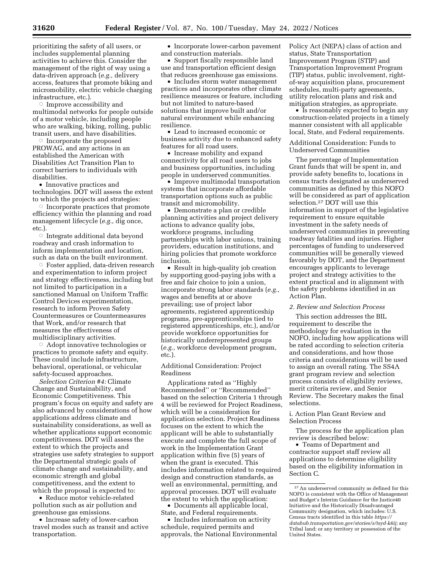prioritizing the safety of all users, or includes supplemental planning activities to achieve this. Consider the management of the right of way using a data-driven approach (*e.g.,* delivery access, features that promote biking and micromobility, electric vehicle charging infrastructure, etc.).

 $\circ$  Improve accessibility and multimodal networks for people outside of a motor vehicle, including people who are walking, biking, rolling, public transit users, and have disabilities.

 $\circ$  Incorporate the proposed PROWAG, and any actions in an established the American with Disabilities Act Transition Plan to correct barriers to individuals with disabilities.

• Innovative practices and technologies. DOT will assess the extent to which the projects and strategies:

 $\circ$  Incorporate practices that promote efficiency within the planning and road management lifecycle (*e.g.,* dig once, etc.).

 $\overline{\circ}\,$  Integrate additional data beyond roadway and crash information to inform implementation and location, such as data on the built environment.

Æ Foster applied, data-driven research and experimentation to inform project and strategy effectiveness, including but not limited to participation in a sanctioned Manual on Uniform Traffic Control Devices experimentation, research to inform Proven Safety Countermeasures or Countermeasures that Work, and/or research that measures the effectiveness of multidisciplinary activities.

Æ Adopt innovative technologies or practices to promote safety and equity. These could include infrastructure, behavioral, operational, or vehicular safety-focused approaches.

*Selection Criterion #4:* Climate Change and Sustainability, and Economic Competitiveness. This program's focus on equity and safety are also advanced by considerations of how applications address climate and sustainability considerations, as well as whether applications support economic competitiveness. DOT will assess the extent to which the projects and strategies use safety strategies to support the Departmental strategic goals of climate change and sustainability, and economic strength and global competitiveness, and the extent to which the proposal is expected to:

• Reduce motor vehicle-related pollution such as air pollution and greenhouse gas emissions.

• Increase safety of lower-carbon travel modes such as transit and active transportation.

• Incorporate lower-carbon pavement and construction materials.

• Support fiscally responsible land use and transportation efficient design that reduces greenhouse gas emissions.

• Includes storm water management practices and incorporates other climate resilience measures or feature, including but not limited to nature-based solutions that improve built and/or natural environment while enhancing resilience.

• Lead to increased economic or business activity due to enhanced safety features for all road users.

• Increase mobility and expand connectivity for all road users to jobs and business opportunities, including people in underserved communities.

• Improve multimodal transportation systems that incorporate affordable transportation options such as public transit and micromobility.

• Demonstrate a plan or credible planning activities and project delivery actions to advance quality jobs, workforce programs, including partnerships with labor unions, training providers, education institutions, and hiring policies that promote workforce inclusion.

• Result in high-quality job creation by supporting good-paying jobs with a free and fair choice to join a union, incorporate strong labor standards (*e.g.,*  wages and benefits at or above prevailing; use of project labor agreements, registered apprenticeship programs, pre-apprenticeships tied to registered apprenticeships, etc.), and/or provide workforce opportunities for historically underrepresented groups (*e.g.,* workforce development program, etc.).

Additional Consideration: Project Readiness

Applications rated as ''Highly Recommended'' or ''Recommended'' based on the selection Criteria 1 through 4 will be reviewed for Project Readiness, which will be a consideration for application selection. Project Readiness focuses on the extent to which the applicant will be able to substantially execute and complete the full scope of work in the Implementation Grant application within five (5) years of when the grant is executed. This includes information related to required design and construction standards, as well as environmental, permitting, and approval processes. DOT will evaluate the extent to which the application:

• Documents all applicable local, State, and Federal requirements.

• Includes information on activity schedule, required permits and approvals, the National Environmental Policy Act (NEPA) class of action and status, State Transportation Improvement Program (STIP) and Transportation Improvement Program (TIP) status, public involvement, rightof-way acquisition plans, procurement schedules, multi-party agreements, utility relocation plans and risk and mitigation strategies, as appropriate.

• Is reasonably expected to begin any construction-related projects in a timely manner consistent with all applicable local, State, and Federal requirements.

Additional Consideration: Funds to Underserved Communities

The percentage of Implementation Grant funds that will be spent in, and provide safety benefits to, locations in census tracts designated as underserved communities as defined by this NOFO will be considered as part of application selection.27 DOT will use this information in support of the legislative requirement to ensure equitable investment in the safety needs of underserved communities in preventing roadway fatalities and injuries. Higher percentages of funding to underserved communities will be generally viewed favorably by DOT, and the Department encourages applicants to leverage project and strategy activities to the extent practical and in alignment with the safety problems identified in an Action Plan.

# *2. Review and Selection Process*

This section addresses the BIL requirement to describe the methodology for evaluation in the NOFO, including how applications will be rated according to selection criteria and considerations, and how those criteria and considerations will be used to assign an overall rating. The SS4A grant program review and selection process consists of eligibility reviews, merit criteria review, and Senior Review. The Secretary makes the final selections.

### i. Action Plan Grant Review and Selection Process

The process for the application plan review is described below:

• Teams of Department and contractor support staff review all applications to determine eligibility based on the eligibility information in Section C.

<sup>27</sup>An underserved community as defined for this NOFO is consistent with the Office of Management and Budget's Interim Guidance for the Justice40 Initiative and the Historically Disadvantaged Community designation, which includes: U.S. Census tracts identified in this table *https:// datahub.transportation.gov/stories/s/tsyd-k6ij;* any Tribal land; or any territory or possession of the United States.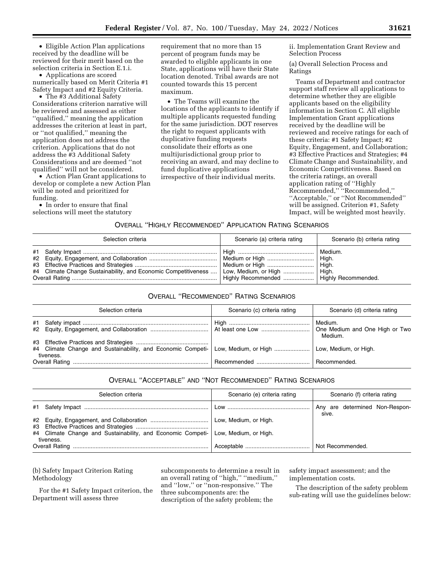• Eligible Action Plan applications received by the deadline will be reviewed for their merit based on the selection criteria in Section E.1.i.

• Applications are scored numerically based on Merit Criteria #1 Safety Impact and #2 Equity Criteria.

• The #3 Additional Safety Considerations criterion narrative will be reviewed and assessed as either ''qualified,'' meaning the application addresses the criterion at least in part, or ''not qualified,'' meaning the application does not address the criterion. Applications that do not address the #3 Additional Safety Considerations and are deemed ''not qualified'' will not be considered.

• Action Plan Grant applications to develop or complete a new Action Plan will be noted and prioritized for funding.

• In order to ensure that final selections will meet the statutory requirement that no more than 15 percent of program funds may be awarded to eligible applicants in one State, applications will have their State location denoted. Tribal awards are not counted towards this 15 percent maximum.

• The Teams will examine the locations of the applicants to identify if multiple applicants requested funding for the same jurisdiction. DOT reserves the right to request applicants with duplicative funding requests consolidate their efforts as one multijurisdictional group prior to receiving an award, and may decline to fund duplicative applications irrespective of their individual merits.

ii. Implementation Grant Review and Selection Process

(a) Overall Selection Process and Ratings

Teams of Department and contractor support staff review all applications to determine whether they are eligible applicants based on the eligibility information in Section C. All eligible Implementation Grant applications received by the deadline will be reviewed and receive ratings for each of these criteria: #1 Safety Impact; #2 Equity, Engagement, and Collaboration; #3 Effective Practices and Strategies; #4 Climate Change and Sustainability, and Economic Competitiveness. Based on the criteria ratings, an overall application rating of ''Highly Recommended,'' ''Recommended,'' ''Acceptable,'' or ''Not Recommended'' will be assigned. Criterion #1, Safety Impact, will be weighted most heavily.

OVERALL ''HIGHLY RECOMMENDED'' APPLICATION RATING SCENARIOS

| Selection criteria                                                                     | Scenario (a) criteria rating                                | Scenario (b) criteria rating                                                |
|----------------------------------------------------------------------------------------|-------------------------------------------------------------|-----------------------------------------------------------------------------|
| #4 Climate Change Sustainability, and Economic Competitiveness    Low, Medium, or High | Medium or High<br>Highly Recommended    Highly Recommended. | Medium.<br>$\vert$ High.<br>$\perp$ High.<br>$\overline{\phantom{a}}$ High. |

# OVERALL ''RECOMMENDED'' RATING SCENARIOS

| Selection criteria                                                                                                   | Scenario (c) criteria rating | Scenario (d) criteria rating |
|----------------------------------------------------------------------------------------------------------------------|------------------------------|------------------------------|
|                                                                                                                      |                              | Medium.<br>Medium.           |
| #4 Climate Change and Sustainability, and Economic Competi- Low, Medium, or High  Low, Medium, or High.<br>tiveness. |                              |                              |
|                                                                                                                      | Recommended  Recommended.    |                              |

# OVERALL ''ACCEPTABLE'' AND ''NOT RECOMMENDED'' RATING SCENARIOS

| Selection criteria                                                                | Scenario (e) criteria rating | Scenario (f) criteria rating            |
|-----------------------------------------------------------------------------------|------------------------------|-----------------------------------------|
|                                                                                   |                              | Any are determined Non-Respon-<br>sive. |
|                                                                                   |                              |                                         |
| #4 Climate Change and Sustainability, and Economic Competi- Low, Medium, or High. |                              |                                         |
| tiveness.                                                                         |                              | Not Recommended.                        |

(b) Safety Impact Criterion Rating Methodology

For the #1 Safety Impact criterion, the Department will assess three

subcomponents to determine a result in an overall rating of ''high,'' ''medium,'' and ''low,'' or ''non-responsive.'' The three subcomponents are: the description of the safety problem; the

safety impact assessment; and the implementation costs.

The description of the safety problem sub-rating will use the guidelines below: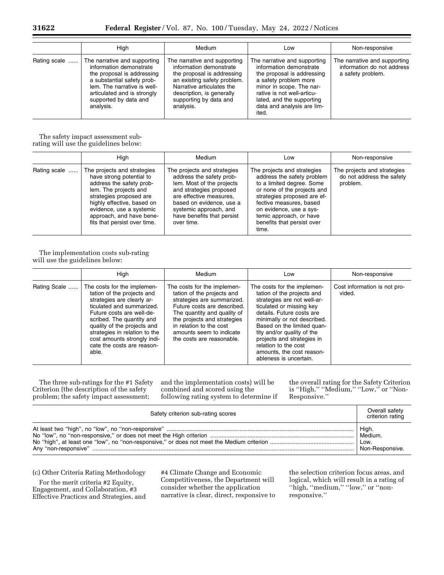|              | High                                                                                                                                                                                                                    | <b>Medium</b>                                                                                                                                                                                                         | Low                                                                                                                                                                                                                                          | Non-responsive                                                                  |
|--------------|-------------------------------------------------------------------------------------------------------------------------------------------------------------------------------------------------------------------------|-----------------------------------------------------------------------------------------------------------------------------------------------------------------------------------------------------------------------|----------------------------------------------------------------------------------------------------------------------------------------------------------------------------------------------------------------------------------------------|---------------------------------------------------------------------------------|
| Rating scale | The narrative and supporting<br>information demonstrate<br>the proposal is addressing<br>a substantial safety prob-<br>lem. The narrative is well-<br>articulated and is strongly<br>supported by data and<br>analysis. | The narrative and supporting<br>information demonstrate<br>the proposal is addressing<br>an existing safety problem.<br>Narrative articulates the<br>description, is generally<br>supporting by data and<br>analysis. | The narrative and supporting<br>information demonstrate<br>the proposal is addressing<br>a safety problem more<br>minor in scope. The nar-<br>rative is not well-articu-<br>lated, and the supporting<br>data and analysis are lim-<br>ited. | The narrative and supporting<br>information do not address<br>a safety problem. |

The safety impact assessment subrating will use the guidelines below:

|              | High                                                                                                                                                                                                                                                          | Medium                                                                                                                                                                                                                                       | Low                                                                                                                                                                                                                                                                          | Non-responsive                                                       |
|--------------|---------------------------------------------------------------------------------------------------------------------------------------------------------------------------------------------------------------------------------------------------------------|----------------------------------------------------------------------------------------------------------------------------------------------------------------------------------------------------------------------------------------------|------------------------------------------------------------------------------------------------------------------------------------------------------------------------------------------------------------------------------------------------------------------------------|----------------------------------------------------------------------|
| Rating scale | The projects and strategies<br>have strong potential to<br>address the safety prob-<br>lem. The projects and<br>strategies proposed are<br>highly effective, based on<br>evidence, use a systemic<br>approach, and have bene-<br>fits that persist over time. | The projects and strategies<br>address the safety prob-<br>lem. Most of the projects<br>and strategies proposed<br>are effective measures.<br>based on evidence, use a<br>systemic approach, and<br>have benefits that persist<br>over time. | The projects and strategies<br>address the safety problem<br>to a limited degree. Some<br>or none of the projects and<br>strategies proposed are ef-<br>fective measures, based<br>on evidence, use a sys-<br>temic approach, or have<br>benefits that persist over<br>time. | The projects and strategies<br>do not address the safety<br>problem. |

The implementation costs sub-rating will use the guidelines below:

|              | High                                                                                                                                                                                                                                                                                                                 | Medium                                                                                                                                                                                                                                                                   | Low                                                                                                                                                                                                                                                                                                                                                       | Non-responsive                         |
|--------------|----------------------------------------------------------------------------------------------------------------------------------------------------------------------------------------------------------------------------------------------------------------------------------------------------------------------|--------------------------------------------------------------------------------------------------------------------------------------------------------------------------------------------------------------------------------------------------------------------------|-----------------------------------------------------------------------------------------------------------------------------------------------------------------------------------------------------------------------------------------------------------------------------------------------------------------------------------------------------------|----------------------------------------|
| Rating Scale | The costs for the implemen-<br>tation of the projects and<br>strategies are clearly ar-<br>ticulated and summarized.<br>Future costs are well-de-<br>scribed. The quantity and<br>quality of the projects and<br>strategies in relation to the<br>cost amounts strongly indi-<br>cate the costs are reason-<br>able. | The costs for the implemen-<br>tation of the projects and<br>strategies are summarized.<br>Future costs are described.<br>The quantity and quality of<br>the projects and strategies<br>in relation to the cost<br>amounts seem to indicate<br>the costs are reasonable. | The costs for the implemen-<br>tation of the projects and<br>strategies are not well-ar-<br>ticulated or missing key<br>details. Future costs are<br>minimally or not described.<br>Based on the limited quan-<br>tity and/or quality of the<br>projects and strategies in<br>relation to the cost<br>amounts, the cost reason-<br>ableness is uncertain. | Cost information is not pro-<br>vided. |

The three sub-ratings for the #1 Safety Criterion (the description of the safety problem; the safety impact assessment;

and the implementation costs) will be combined and scored using the following rating system to determine if

the overall rating for the Safety Criterion is "High," "Medium," "Low," or "Non-Responsive.''

| Safety criterion sub-rating scores |                 |  |
|------------------------------------|-----------------|--|
|                                    | High.           |  |
|                                    | Medium.         |  |
|                                    | Low.            |  |
|                                    | Non-Responsive. |  |

(c) Other Criteria Rating Methodology

For the merit criteria #2 Equity, Engagement, and Collaboration, #3 Effective Practices and Strategies, and

#4 Climate Change and Economic Competitiveness, the Department will consider whether the application narrative is clear, direct, responsive to

the selection criterion focus areas, and logical, which will result in a rating of ''high, ''medium,'' ''low,'' or ''nonresponsive.''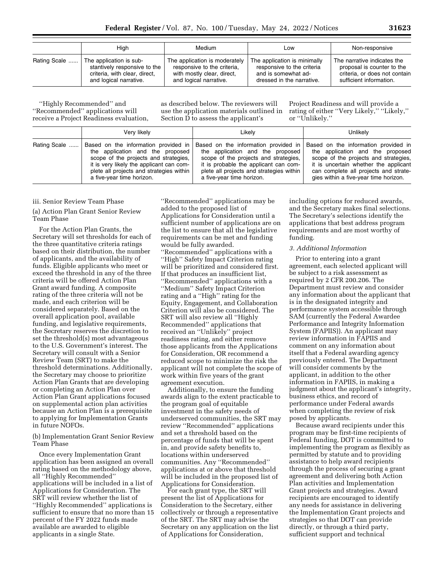|              | High                          | Medium                        | Low                          | Non-responsive                |
|--------------|-------------------------------|-------------------------------|------------------------------|-------------------------------|
| Rating Scale | The application is sub-       | The application is moderately | The application is minimally | The narrative indicates the   |
|              | stantively responsive to the  | responsive to the criteria.   | responsive to the criteria   | proposal is counter to the    |
|              | criteria, with clear, direct, | with mostly clear, direct,    | and is somewhat ad-          | criteria, or does not contain |
|              | and logical narrative.        | and logical narrative.        | dressed in the narrative.    | sufficient information.       |

''Highly Recommended'' and ''Recommended'' applications will receive a Project Readiness evaluation, as described below. The reviewers will use the application materials outlined in Section D to assess the applicant's

Project Readiness and will provide a rating of either "Very Likely," "Likely," or ''Unlikely.''

|              | Very likely                              | Likelv                                   | Unlikely                              |
|--------------|------------------------------------------|------------------------------------------|---------------------------------------|
| Rating Scale | Based on the information provided in     | Based on the information provided in     | Based on the information provided in  |
|              | the application and the proposed         | the application and the proposed         | the application and the proposed      |
|              | scope of the projects and strategies.    | scope of the projects and strategies,    | scope of the projects and strategies, |
|              | it is very likely the applicant can com- | it is probable the applicant can com-    | it is uncertain whether the applicant |
|              | plete all projects and strategies within | plete all projects and strategies within | can complete all projects and strate- |
|              | a five-year time horizon.                | a five-year time horizon.                | gies within a five-year time horizon. |

### iii. Senior Review Team Phase

(a) Action Plan Grant Senior Review Team Phase

For the Action Plan Grants, the Secretary will set thresholds for each of the three quantitative criteria ratings based on their distribution, the number of applicants, and the availability of funds. Eligible applicants who meet or exceed the threshold in any of the three criteria will be offered Action Plan Grant award funding. A composite rating of the three criteria will not be made, and each criterion will be considered separately. Based on the overall application pool, available funding, and legislative requirements, the Secretary reserves the discretion to set the threshold(s) most advantageous to the U.S. Government's interest. The Secretary will consult with a Senior Review Team (SRT) to make the threshold determinations. Additionally, the Secretary may choose to prioritize Action Plan Grants that are developing or completing an Action Plan over Action Plan Grant applications focused on supplemental action plan activities because an Action Plan is a prerequisite to applying for Implementation Grants in future NOFOs.

(b) Implementation Grant Senior Review Team Phase

Once every Implementation Grant application has been assigned an overall rating based on the methodology above, all ''Highly Recommended'' applications will be included in a list of Applications for Consideration. The SRT will review whether the list of ''Highly Recommended'' applications is sufficient to ensure that no more than 15 percent of the FY 2022 funds made available are awarded to eligible applicants in a single State.

''Recommended'' applications may be added to the proposed list of Applications for Consideration until a sufficient number of applications are on the list to ensure that all the legislative requirements can be met and funding would be fully awarded. ''Recommended'' applications with a ''High'' Safety Impact Criterion rating will be prioritized and considered first. If that produces an insufficient list, ''Recommended'' applications with a ''Medium'' Safety Impact Criterion rating and a ''High'' rating for the Equity, Engagement, and Collaboration Criterion will also be considered. The SRT will also review all ''Highly Recommended'' applications that received an ''Unlikely'' project readiness rating, and either remove those applicants from the Applications for Consideration, OR recommend a reduced scope to minimize the risk the applicant will not complete the scope of work within five years of the grant agreement execution.

Additionally, to ensure the funding awards align to the extent practicable to the program goal of equitable investment in the safety needs of underserved communities, the SRT may review ''Recommended'' applications and set a threshold based on the percentage of funds that will be spent in, and provide safety benefits to, locations within underserved communities. Any ''Recommended'' applications at or above that threshold will be included in the proposed list of Applications for Consideration.

For each grant type, the SRT will present the list of Applications for Consideration to the Secretary, either collectively or through a representative of the SRT. The SRT may advise the Secretary on any application on the list of Applications for Consideration,

including options for reduced awards, and the Secretary makes final selections. The Secretary's selections identify the applications that best address program requirements and are most worthy of funding.

### *3. Additional Information*

Prior to entering into a grant agreement, each selected applicant will be subject to a risk assessment as required by 2 CFR 200.206. The Department must review and consider any information about the applicant that is in the designated integrity and performance system accessible through SAM (currently the Federal Awardee Performance and Integrity Information System (FAPIIS)). An applicant may review information in FAPIIS and comment on any information about itself that a Federal awarding agency previously entered. The Department will consider comments by the applicant, in addition to the other information in FAPIIS, in making a judgment about the applicant's integrity, business ethics, and record of performance under Federal awards when completing the review of risk posed by applicants.

Because award recipients under this program may be first-time recipients of Federal funding, DOT is committed to implementing the program as flexibly as permitted by statute and to providing assistance to help award recipients through the process of securing a grant agreement and delivering both Action Plan activities and Implementation Grant projects and strategies. Award recipients are encouraged to identify any needs for assistance in delivering the Implementation Grant projects and strategies so that DOT can provide directly, or through a third party, sufficient support and technical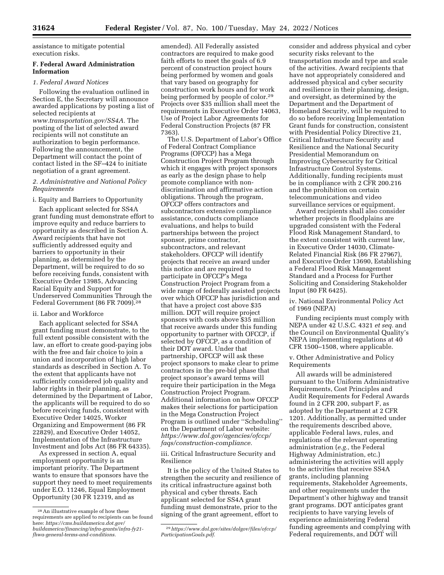assistance to mitigate potential execution risks.

# **F. Federal Award Administration Information**

### *1. Federal Award Notices*

Following the evaluation outlined in Section E, the Secretary will announce awarded applications by posting a list of selected recipients at *www.transportation.gov/SS4A.* The posting of the list of selected award recipients will not constitute an authorization to begin performance. Following the announcement, the Department will contact the point of contact listed in the SF–424 to initiate negotiation of a grant agreement.

## *2. Administrative and National Policy Requirements*

i. Equity and Barriers to Opportunity

Each applicant selected for SS4A grant funding must demonstrate effort to improve equity and reduce barriers to opportunity as described in Section A. Award recipients that have not sufficiently addressed equity and barriers to opportunity in their planning, as determined by the Department, will be required to do so before receiving funds, consistent with Executive Order 13985, Advancing Racial Equity and Support for Underserved Communities Through the Federal Government (86 FR 7009).28

# ii. Labor and Workforce

Each applicant selected for SS4A grant funding must demonstrate, to the full extent possible consistent with the law, an effort to create good-paying jobs with the free and fair choice to join a union and incorporation of high labor standards as described in Section A. To the extent that applicants have not sufficiently considered job quality and labor rights in their planning, as determined by the Department of Labor, the applicants will be required to do so before receiving funds, consistent with Executive Order 14025, Worker Organizing and Empowerment (86 FR 22829), and Executive Order 14052, Implementation of the Infrastructure Investment and Jobs Act (86 FR 64335).

As expressed in section A, equal employment opportunity is an important priority. The Department wants to ensure that sponsors have the support they need to meet requirements under E.O. 11246, Equal Employment Opportunity (30 FR 12319, and as

amended). All Federally assisted contractors are required to make good faith efforts to meet the goals of 6.9 percent of construction project hours being performed by women and goals that vary based on geography for construction work hours and for work being performed by people of color.29 Projects over \$35 million shall meet the requirements in Executive Order 14063, Use of Project Labor Agreements for Federal Construction Projects (87 FR 7363).

The U.S. Department of Labor's Office of Federal Contract Compliance Programs (OFCCP) has a Mega Construction Project Program through which it engages with project sponsors as early as the design phase to help promote compliance with nondiscrimination and affirmative action obligations. Through the program, OFCCP offers contractors and subcontractors extensive compliance assistance, conducts compliance evaluations, and helps to build partnerships between the project sponsor, prime contractor, subcontractors, and relevant stakeholders. OFCCP will identify projects that receive an award under this notice and are required to participate in OFCCP's Mega Construction Project Program from a wide range of federally assisted projects over which OFCCP has jurisdiction and that have a project cost above \$35 million. DOT will require project sponsors with costs above \$35 million that receive awards under this funding opportunity to partner with OFCCP, if selected by OFCCP, as a condition of their DOT award. Under that partnership, OFCCP will ask these project sponsors to make clear to prime contractors in the pre-bid phase that project sponsor's award terms will require their participation in the Mega Construction Project Program. Additional information on how OFCCP makes their selections for participation in the Mega Construction Project Program is outlined under ''Scheduling'' on the Department of Labor website: *https://www.dol.gov/agencies/ofccp/ faqs/construction-compliance.* 

iii. Critical Infrastructure Security and Resilience

It is the policy of the United States to strengthen the security and resilience of its critical infrastructure against both physical and cyber threats. Each applicant selected for SS4A grant funding must demonstrate, prior to the signing of the grant agreement, effort to

consider and address physical and cyber security risks relevant to the transportation mode and type and scale of the activities. Award recipients that have not appropriately considered and addressed physical and cyber security and resilience in their planning, design, and oversight, as determined by the Department and the Department of Homeland Security, will be required to do so before receiving Implementation Grant funds for construction, consistent with Presidential Policy Directive 21, Critical Infrastructure Security and Resilience and the National Security Presidential Memorandum on Improving Cybersecurity for Critical Infrastructure Control Systems. Additionally, funding recipients must be in compliance with 2 CFR 200.216 and the prohibition on certain telecommunications and video surveillance services or equipment.

Award recipients shall also consider whether projects in floodplains are upgraded consistent with the Federal Flood Risk Management Standard, to the extent consistent with current law, in Executive Order 14030, Climate-Related Financial Risk (86 FR 27967), and Executive Order 13690, Establishing a Federal Flood Risk Management Standard and a Process for Further Soliciting and Considering Stakeholder Input (80 FR 6425).

iv. National Environmental Policy Act of 1969 (NEPA)

Funding recipients must comply with NEPA under 42 U.S.C. 4321 *et seq.* and the Council on Environmental Quality's NEPA implementing regulations at 40 CFR 1500–1508, where applicable.

v. Other Administrative and Policy Requirements

All awards will be administered pursuant to the Uniform Administrative Requirements, Cost Principles and Audit Requirements for Federal Awards found in 2 CFR 200, subpart F, as adopted by the Department at 2 CFR 1201. Additionally, as permitted under the requirements described above, applicable Federal laws, rules, and regulations of the relevant operating administration (*e.g.,* the Federal Highway Administration, etc.) administering the activities will apply to the activities that receive SS4A grants, including planning requirements, Stakeholder Agreements, and other requirements under the Department's other highway and transit grant programs. DOT anticipates grant recipients to have varying levels of experience administering Federal funding agreements and complying with Federal requirements, and DOT will

<sup>28</sup>An illustrative example of how these requirements are applied to recipients can be found here: *https://cms.buildamerica.dot.gov/ buildamerica/financing/infra-grants/infra-fy21 fhwa-general-terms-and-conditions.* 

<sup>29</sup>*https://www.dol.gov/sites/dolgov/files/ofccp/ ParticipationGoals.pdf.*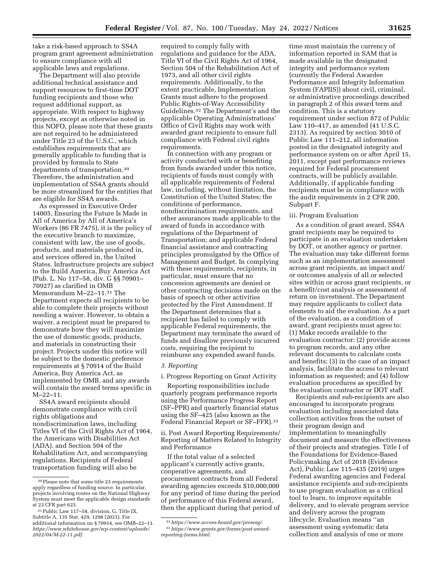take a risk-based approach to SS4A program grant agreement administration to ensure compliance with all applicable laws and regulations.

The Department will also provide additional technical assistance and support resources to first-time DOT funding recipients and those who request additional support, as appropriate. With respect to highway projects, except as otherwise noted in this NOFO, please note that these grants are not required to be administered under Title 23 of the U.S.C., which establishes requirements that are generally applicable to funding that is provided by formula to State departments of transportation.30 Therefore, the administration and implementation of SS4A grants should be more streamlined for the entities that are eligible for SS4A awards.

As expressed in Executive Order 14005, Ensuring the Future Is Made in All of America by All of America's Workers (86 FR 7475), it is the policy of the executive branch to maximize, consistent with law, the use of goods, products, and materials produced in, and services offered in, the United States. Infrastructure projects are subject to the Build America, Buy America Act (Pub. L. No 117–58, div. G §§ 70901– 70927) as clarified in OMB Memorandum M–22–11.31 The Department expects all recipients to be able to complete their projects without needing a waiver. However, to obtain a waiver, a recipient must be prepared to demonstrate how they will maximize the use of domestic goods, products, and materials in constructing their project. Projects under this notice will be subject to the domestic preference requirements at § 70914 of the Build America, Buy America Act, as implemented by OMB, and any awards will contain the award terms specific in M–22–11.

SS4A award recipients should demonstrate compliance with civil rights obligations and nondiscrimination laws, including Titles VI of the Civil Rights Act of 1964, the Americans with Disabilities Act (ADA), and Section 504 of the Rehabilitation Act, and accompanying regulations. Recipients of Federal transportation funding will also be

required to comply fully with regulations and guidance for the ADA, Title VI of the Civil Rights Act of 1964, Section 504 of the Rehabilitation Act of 1973, and all other civil rights requirements. Additionally, to the extent practicable, Implementation Grants must adhere to the proposed Public Rights-of-Way Accessibility Guidelines.32 The Department's and the applicable Operating Administrations' Office of Civil Rights may work with awarded grant recipients to ensure full compliance with Federal civil rights requirements.

In connection with any program or activity conducted with or benefiting from funds awarded under this notice, recipients of funds must comply with all applicable requirements of Federal law, including, without limitation, the Constitution of the United States; the conditions of performance, nondiscrimination requirements, and other assurances made applicable to the award of funds in accordance with regulations of the Department of Transportation; and applicable Federal financial assistance and contracting principles promulgated by the Office of Management and Budget. In complying with these requirements, recipients, in particular, must ensure that no concession agreements are denied or other contracting decisions made on the basis of speech or other activities protected by the First Amendment. If the Department determines that a recipient has failed to comply with applicable Federal requirements, the Department may terminate the award of funds and disallow previously incurred costs, requiring the recipient to reimburse any expended award funds.

# *3. Reporting*

i. Progress Reporting on Grant Activity

Reporting responsibilities include quarterly program performance reports using the Performance Progress Report (SF–PPR) and quarterly financial status using the SF–425 (also known as the Federal Financial Report or SF–FFR).33

ii. Post Award Reporting Requirements/ Reporting of Matters Related to Integrity and Performance

If the total value of a selected applicant's currently active grants, cooperative agreements, and procurement contracts from all Federal awarding agencies exceeds \$10,000,000 for any period of time during the period of performance of this Federal award, then the applicant during that period of

time must maintain the currency of information reported in SAM that is made available in the designated integrity and performance system (currently the Federal Awardee Performance and Integrity Information System (FAPIIS)) about civil, criminal, or administrative proceedings described in paragraph 2 of this award term and condition. This is a statutory requirement under section 872 of Public Law 110–417, as amended (41 U.S.C. 2313). As required by section 3010 of Public Law 111–212, all information posted in the designated integrity and performance system on or after April 15, 2011, except past performance reviews required for Federal procurement contracts, will be publicly available. Additionally, if applicable funding recipients must be in compliance with the audit requirements in 2 CFR 200, Subpart F.

#### iii. Program Evaluation

As a condition of grant award, SS4A grant recipients may be required to participate in an evaluation undertaken by DOT, or another agency or partner. The evaluation may take different forms such as an implementation assessment across grant recipients, an impact and/ or outcomes analysis of all or selected sites within or across grant recipients, or a benefit/cost analysis or assessment of return on investment. The Department may require applicants to collect data elements to aid the evaluation. As a part of the evaluation, as a condition of award, grant recipients must agree to: (1) Make records available to the evaluation contractor; (2) provide access to program records, and any other relevant documents to calculate costs and benefits; (3) in the case of an impact analysis, facilitate the access to relevant information as requested; and (4) follow evaluation procedures as specified by the evaluation contractor or DOT staff.

Recipients and sub-recipients are also encouraged to incorporate program evaluation including associated data collection activities from the outset of their program design and implementation to meaningfully document and measure the effectiveness of their projects and strategies. Title I of the Foundations for Evidence-Based Policymaking Act of 2018 (Evidence Act), Public Law 115–435 (2019) urges Federal awarding agencies and Federal assistance recipients and sub-recipients to use program evaluation as a critical tool to learn, to improve equitable delivery, and to elevate program service and delivery across the program lifecycle. Evaluation means ''an assessment using systematic data collection and analysis of one or more

<sup>30</sup>Please note that some title 23 requirements apply regardless of funding source. In particular, projects involving routes on the National Highway System must meet the applicable design standards at 23 CFR part 625.

<sup>31</sup>Public Law 117–58, division. G, Title IX, Subtitle A, 135 Stat. 429, 1298 (2021). For additional information on § 70914, see OMB–22–11. *https://www.whitehouse.gov/wp-content/uploads/ 2022/04/M-22-11.pdf.* 

<sup>32</sup>*https://www.access-board.gov/prowag/.*  33*https://www.grants.gov/forms/post-awardreporting-forms.html.*